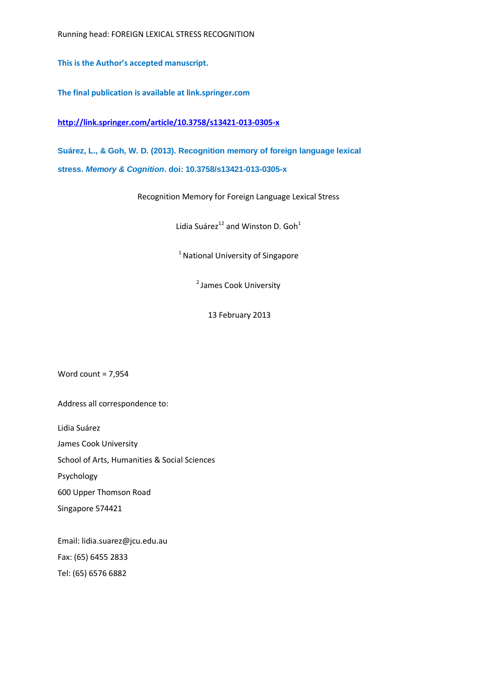**This is the Author's accepted manuscript.**

**The final publication is available at link.springer.com**

**<http://link.springer.com/article/10.3758/s13421-013-0305-x>**

**Suárez, L., & Goh, W. D. (2013). Recognition memory of foreign language lexical stress.** *Memory & Cognition***. doi: 10.3758/s13421-013-0305-x**

Recognition Memory for Foreign Language Lexical Stress

Lidia Suárez<sup>12</sup> and Winston D. Goh<sup>1</sup>

 $1$  National University of Singapore

<sup>2</sup> James Cook University

13 February 2013

Word count = 7,954

Address all correspondence to:

Lidia Suárez

James Cook University

School of Arts, Humanities & Social Sciences

Psychology

600 Upper Thomson Road

Singapore 574421

Email: lidia.suarez@jcu.edu.au Fax: (65) 6455 2833 Tel: (65) 6576 6882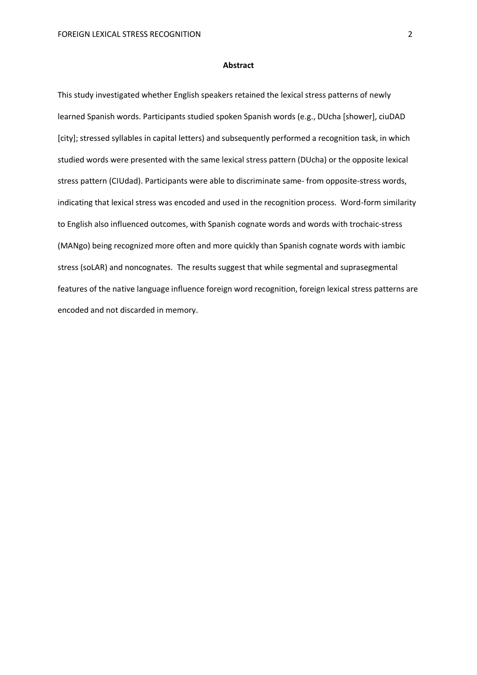### **Abstract**

This study investigated whether English speakers retained the lexical stress patterns of newly learned Spanish words. Participants studied spoken Spanish words (e.g., DUcha [shower], ciuDAD [city]; stressed syllables in capital letters) and subsequently performed a recognition task, in which studied words were presented with the same lexical stress pattern (DUcha) or the opposite lexical stress pattern (CIUdad). Participants were able to discriminate same- from opposite-stress words, indicating that lexical stress was encoded and used in the recognition process. Word-form similarity to English also influenced outcomes, with Spanish cognate words and words with trochaic-stress (MANgo) being recognized more often and more quickly than Spanish cognate words with iambic stress (soLAR) and noncognates. The results suggest that while segmental and suprasegmental features of the native language influence foreign word recognition, foreign lexical stress patterns are encoded and not discarded in memory.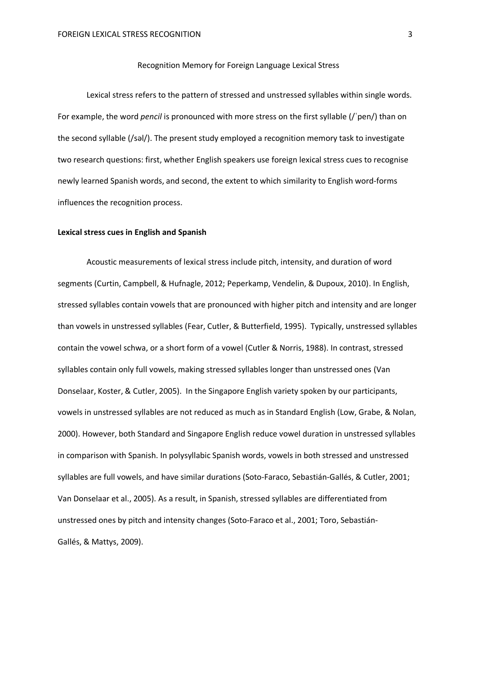### Recognition Memory for Foreign Language Lexical Stress

Lexical stress refers to the pattern of stressed and unstressed syllables within single words. For example, the word *pencil* is pronounced with more stress on the first syllable (/ˈpen/) than on the second syllable (/səl/). The present study employed a recognition memory task to investigate two research questions: first, whether English speakers use foreign lexical stress cues to recognise newly learned Spanish words, and second, the extent to which similarity to English word-forms influences the recognition process.

#### **Lexical stress cues in English and Spanish**

Acoustic measurements of lexical stress include pitch, intensity, and duration of word segments (Curtin, Campbell, & Hufnagle, 2012; Peperkamp, Vendelin, & Dupoux, 2010). In English, stressed syllables contain vowels that are pronounced with higher pitch and intensity and are longer than vowels in unstressed syllables (Fear, Cutler, & Butterfield, 1995). Typically, unstressed syllables contain the vowel schwa, or a short form of a vowel (Cutler & Norris, 1988). In contrast, stressed syllables contain only full vowels, making stressed syllables longer than unstressed ones (Van Donselaar, Koster, & Cutler, 2005). In the Singapore English variety spoken by our participants, vowels in unstressed syllables are not reduced as much as in Standard English (Low, Grabe, & Nolan, 2000). However, both Standard and Singapore English reduce vowel duration in unstressed syllables in comparison with Spanish. In polysyllabic Spanish words, vowels in both stressed and unstressed syllables are full vowels, and have similar durations (Soto-Faraco, Sebastián-Gallés, & Cutler, 2001; Van Donselaar et al., 2005). As a result, in Spanish, stressed syllables are differentiated from unstressed ones by pitch and intensity changes (Soto-Faraco et al., 2001; Toro, Sebastián-Gallés, & Mattys, 2009).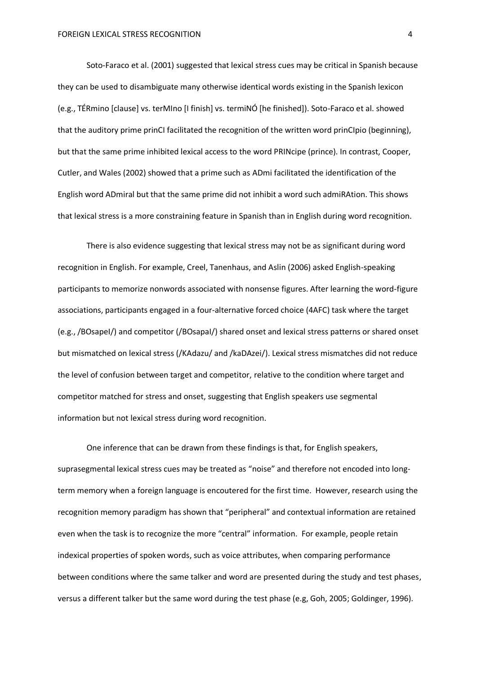Soto-Faraco et al. (2001) suggested that lexical stress cues may be critical in Spanish because they can be used to disambiguate many otherwise identical words existing in the Spanish lexicon (e.g., TÉRmino [clause] vs. terMIno [I finish] vs. termiNÓ [he finished]). Soto-Faraco et al. showed that the auditory prime prinCI facilitated the recognition of the written word prinCIpio (beginning), but that the same prime inhibited lexical access to the word PRINcipe (prince). In contrast, Cooper, Cutler, and Wales (2002) showed that a prime such as ADmi facilitated the identification of the English word ADmiral but that the same prime did not inhibit a word such admiRAtion. This shows that lexical stress is a more constraining feature in Spanish than in English during word recognition.

There is also evidence suggesting that lexical stress may not be as significant during word recognition in English. For example, Creel, Tanenhaus, and Aslin (2006) asked English-speaking participants to memorize nonwords associated with nonsense figures. After learning the word-figure associations, participants engaged in a four-alternative forced choice (4AFC) task where the target (e.g., /BOsapeI/) and competitor (/BOsapaI/) shared onset and lexical stress patterns or shared onset but mismatched on lexical stress (/KAdazu/ and /kaDAzei/). Lexical stress mismatches did not reduce the level of confusion between target and competitor, relative to the condition where target and competitor matched for stress and onset, suggesting that English speakers use segmental information but not lexical stress during word recognition.

One inference that can be drawn from these findings is that, for English speakers, suprasegmental lexical stress cues may be treated as "noise" and therefore not encoded into longterm memory when a foreign language is encoutered for the first time. However, research using the recognition memory paradigm has shown that "peripheral" and contextual information are retained even when the task is to recognize the more "central" information. For example, people retain indexical properties of spoken words, such as voice attributes, when comparing performance between conditions where the same talker and word are presented during the study and test phases, versus a different talker but the same word during the test phase (e.g, Goh, 2005; Goldinger, 1996).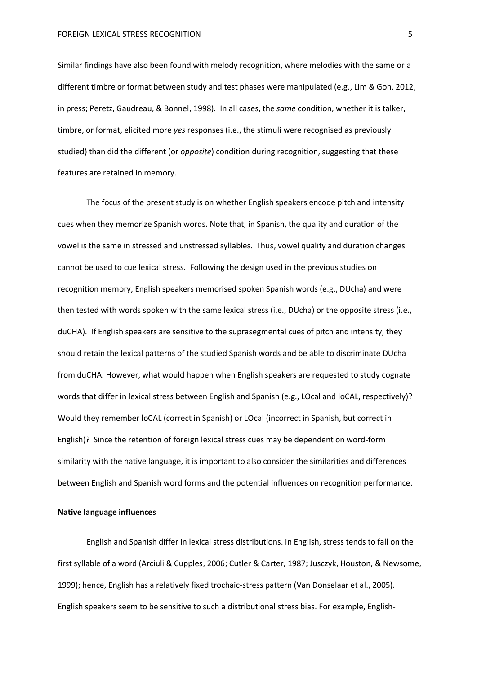Similar findings have also been found with melody recognition, where melodies with the same or a different timbre or format between study and test phases were manipulated (e.g., Lim & Goh, 2012, in press; Peretz, Gaudreau, & Bonnel, 1998). In all cases, the *same* condition, whether it is talker, timbre, or format, elicited more *yes* responses (i.e., the stimuli were recognised as previously studied) than did the different (or *opposite*) condition during recognition, suggesting that these features are retained in memory.

The focus of the present study is on whether English speakers encode pitch and intensity cues when they memorize Spanish words. Note that, in Spanish, the quality and duration of the vowel is the same in stressed and unstressed syllables. Thus, vowel quality and duration changes cannot be used to cue lexical stress. Following the design used in the previous studies on recognition memory, English speakers memorised spoken Spanish words (e.g., DUcha) and were then tested with words spoken with the same lexical stress (i.e., DUcha) or the opposite stress (i.e., duCHA). If English speakers are sensitive to the suprasegmental cues of pitch and intensity, they should retain the lexical patterns of the studied Spanish words and be able to discriminate DUcha from duCHA. However, what would happen when English speakers are requested to study cognate words that differ in lexical stress between English and Spanish (e.g., LOcal and loCAL, respectively)? Would they remember loCAL (correct in Spanish) or LOcal (incorrect in Spanish, but correct in English)? Since the retention of foreign lexical stress cues may be dependent on word-form similarity with the native language, it is important to also consider the similarities and differences between English and Spanish word forms and the potential influences on recognition performance.

#### **Native language influences**

English and Spanish differ in lexical stress distributions. In English, stress tends to fall on the first syllable of a word (Arciuli & Cupples, 2006; Cutler & Carter, 1987; Jusczyk, Houston, & Newsome, 1999); hence, English has a relatively fixed trochaic-stress pattern (Van Donselaar et al., 2005). English speakers seem to be sensitive to such a distributional stress bias. For example, English-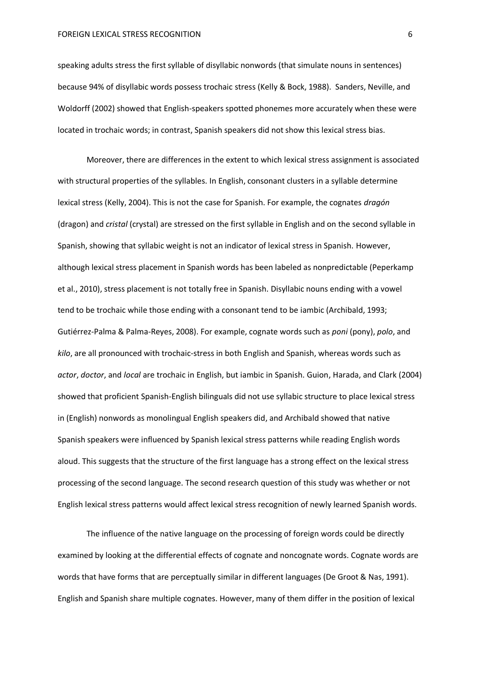#### FOREIGN LEXICAL STRESS RECOGNITION 6

speaking adults stress the first syllable of disyllabic nonwords (that simulate nouns in sentences) because 94% of disyllabic words possess trochaic stress (Kelly & Bock, 1988). Sanders, Neville, and Woldorff (2002) showed that English-speakers spotted phonemes more accurately when these were located in trochaic words; in contrast, Spanish speakers did not show this lexical stress bias.

Moreover, there are differences in the extent to which lexical stress assignment is associated with structural properties of the syllables. In English, consonant clusters in a syllable determine lexical stress (Kelly, 2004). This is not the case for Spanish. For example, the cognates *dragón* (dragon) and *cristal* (crystal) are stressed on the first syllable in English and on the second syllable in Spanish, showing that syllabic weight is not an indicator of lexical stress in Spanish. However, although lexical stress placement in Spanish words has been labeled as nonpredictable (Peperkamp et al., 2010), stress placement is not totally free in Spanish. Disyllabic nouns ending with a vowel tend to be trochaic while those ending with a consonant tend to be iambic (Archibald, 1993; Gutiérrez-Palma & Palma-Reyes, 2008). For example, cognate words such as *poni* (pony), *polo*, and *kilo*, are all pronounced with trochaic-stress in both English and Spanish, whereas words such as *actor*, *doctor*, and *local* are trochaic in English, but iambic in Spanish. Guion, Harada, and Clark (2004) showed that proficient Spanish-English bilinguals did not use syllabic structure to place lexical stress in (English) nonwords as monolingual English speakers did, and Archibald showed that native Spanish speakers were influenced by Spanish lexical stress patterns while reading English words aloud. This suggests that the structure of the first language has a strong effect on the lexical stress processing of the second language. The second research question of this study was whether or not English lexical stress patterns would affect lexical stress recognition of newly learned Spanish words.

The influence of the native language on the processing of foreign words could be directly examined by looking at the differential effects of cognate and noncognate words. Cognate words are words that have forms that are perceptually similar in different languages (De Groot & Nas, 1991). English and Spanish share multiple cognates. However, many of them differ in the position of lexical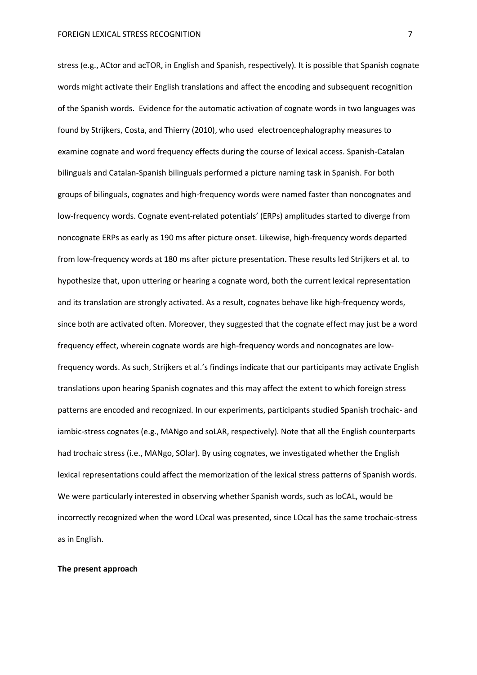stress (e.g., ACtor and acTOR, in English and Spanish, respectively). It is possible that Spanish cognate words might activate their English translations and affect the encoding and subsequent recognition of the Spanish words. Evidence for the automatic activation of cognate words in two languages was found by Strijkers, Costa, and Thierry (2010), who used electroencephalography measures to examine cognate and word frequency effects during the course of lexical access. Spanish-Catalan bilinguals and Catalan-Spanish bilinguals performed a picture naming task in Spanish. For both groups of bilinguals, cognates and high-frequency words were named faster than noncognates and low-frequency words. Cognate event-related potentials' (ERPs) amplitudes started to diverge from noncognate ERPs as early as 190 ms after picture onset. Likewise, high-frequency words departed from low-frequency words at 180 ms after picture presentation. These results led Strijkers et al. to hypothesize that, upon uttering or hearing a cognate word, both the current lexical representation and its translation are strongly activated. As a result, cognates behave like high-frequency words, since both are activated often. Moreover, they suggested that the cognate effect may just be a word frequency effect, wherein cognate words are high-frequency words and noncognates are lowfrequency words. As such, Strijkers et al.'s findings indicate that our participants may activate English translations upon hearing Spanish cognates and this may affect the extent to which foreign stress patterns are encoded and recognized. In our experiments, participants studied Spanish trochaic- and iambic-stress cognates (e.g., MANgo and soLAR, respectively). Note that all the English counterparts had trochaic stress (i.e., MANgo, SOlar). By using cognates, we investigated whether the English lexical representations could affect the memorization of the lexical stress patterns of Spanish words. We were particularly interested in observing whether Spanish words, such as loCAL, would be incorrectly recognized when the word LOcal was presented, since LOcal has the same trochaic-stress as in English.

#### **The present approach**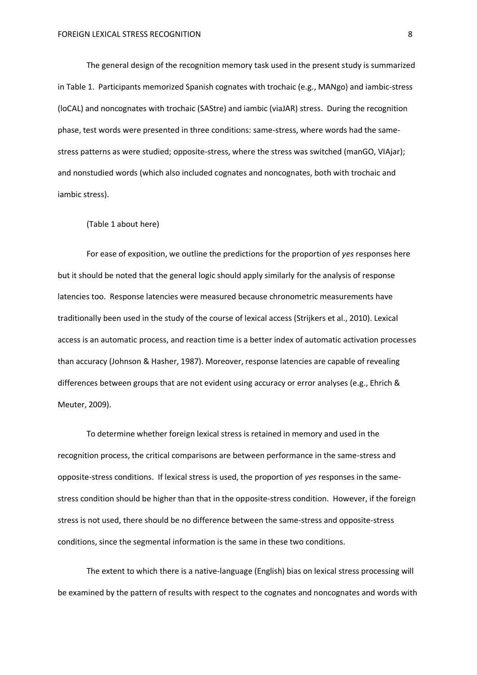The general design of the recognition memory task used in the present study is summarized in Table 1. Participants memorized Spanish cognates with trochaic (e.g., MANgo) and iambic-stress (loCAL) and noncognates with trochaic (SAStre) and iambic (viaJAR) stress. During the recognition phase, test words were presented in three conditions: same-stress, where words had the samestress patterns as were studied; opposite-stress, where the stress was switched (manGO, VIAjar); and nonstudied words (which also included cognates and noncognates, both with trochaic and iambic stress).

(Table 1 about here)

For ease of exposition, we outline the predictions for the proportion of *yes* responses here but it should be noted that the general logic should apply similarly for the analysis of response latencies too. Response latencies were measured because chronometric measurements have traditionally been used in the study of the course of lexical access (Strijkers et al., 2010). Lexical access is an automatic process, and reaction time is a better index of automatic activation processes than accuracy (Johnson & Hasher, 1987). Moreover, response latencies are capable of revealing differences between groups that are not evident using accuracy or error analyses (e.g., Ehrich & Meuter, 2009).

To determine whether foreign lexical stress is retained in memory and used in the recognition process, the critical comparisons are between performance in the same-stress and opposite-stress conditions. If lexical stress is used, the proportion of *yes* responses in the samestress condition should be higher than that in the opposite-stress condition. However, if the foreign stress is not used, there should be no difference between the same-stress and opposite-stress conditions, since the segmental information is the same in these two conditions.

The extent to which there is a native-language (English) bias on lexical stress processing will be examined by the pattern of results with respect to the cognates and noncognates and words with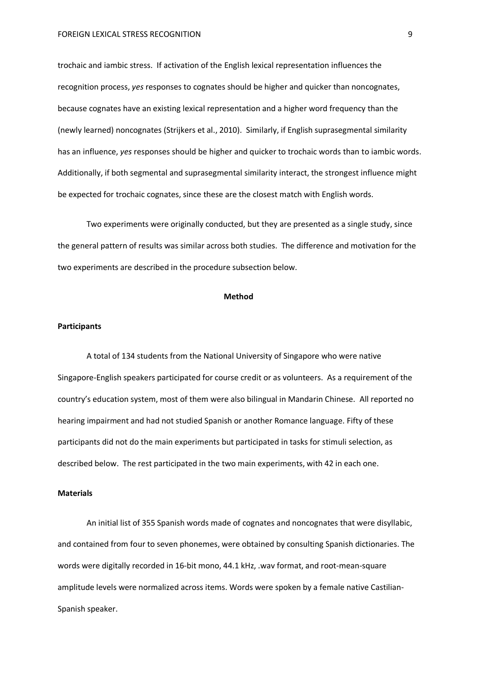trochaic and iambic stress. If activation of the English lexical representation influences the recognition process, *yes* responses to cognates should be higher and quicker than noncognates, because cognates have an existing lexical representation and a higher word frequency than the (newly learned) noncognates (Strijkers et al., 2010). Similarly, if English suprasegmental similarity has an influence, *yes* responses should be higher and quicker to trochaic words than to iambic words. Additionally, if both segmental and suprasegmental similarity interact, the strongest influence might be expected for trochaic cognates, since these are the closest match with English words.

Two experiments were originally conducted, but they are presented as a single study, since the general pattern of results was similar across both studies. The difference and motivation for the two experiments are described in the procedure subsection below.

#### **Method**

### **Participants**

A total of 134 students from the National University of Singapore who were native Singapore-English speakers participated for course credit or as volunteers. As a requirement of the country's education system, most of them were also bilingual in Mandarin Chinese. All reported no hearing impairment and had not studied Spanish or another Romance language. Fifty of these participants did not do the main experiments but participated in tasks for stimuli selection, as described below. The rest participated in the two main experiments, with 42 in each one.

#### **Materials**

An initial list of 355 Spanish words made of cognates and noncognates that were disyllabic, and contained from four to seven phonemes, were obtained by consulting Spanish dictionaries. The words were digitally recorded in 16-bit mono, 44.1 kHz, .wav format, and root-mean-square amplitude levels were normalized across items. Words were spoken by a female native Castilian-Spanish speaker.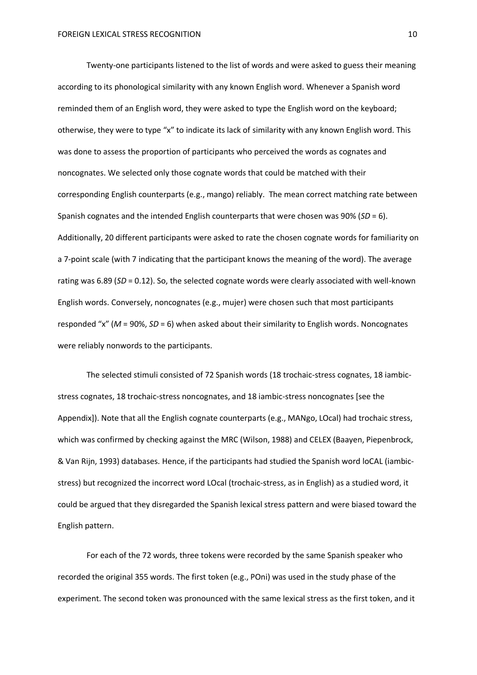Twenty-one participants listened to the list of words and were asked to guess their meaning according to its phonological similarity with any known English word. Whenever a Spanish word reminded them of an English word, they were asked to type the English word on the keyboard; otherwise, they were to type "x" to indicate its lack of similarity with any known English word. This was done to assess the proportion of participants who perceived the words as cognates and noncognates. We selected only those cognate words that could be matched with their corresponding English counterparts (e.g., mango) reliably. The mean correct matching rate between Spanish cognates and the intended English counterparts that were chosen was 90% (*SD* = 6). Additionally, 20 different participants were asked to rate the chosen cognate words for familiarity on a 7-point scale (with 7 indicating that the participant knows the meaning of the word). The average rating was 6.89 (*SD* = 0.12). So, the selected cognate words were clearly associated with well-known English words. Conversely, noncognates (e.g., mujer) were chosen such that most participants responded "x" (*M* = 90%, *SD* = 6) when asked about their similarity to English words. Noncognates were reliably nonwords to the participants.

The selected stimuli consisted of 72 Spanish words (18 trochaic-stress cognates, 18 iambicstress cognates, 18 trochaic-stress noncognates, and 18 iambic-stress noncognates [see the Appendix]). Note that all the English cognate counterparts (e.g., MANgo, LOcal) had trochaic stress, which was confirmed by checking against the MRC (Wilson, 1988) and CELEX (Baayen, Piepenbrock, & Van Rijn, 1993) databases. Hence, if the participants had studied the Spanish word loCAL (iambicstress) but recognized the incorrect word LOcal (trochaic-stress, as in English) as a studied word, it could be argued that they disregarded the Spanish lexical stress pattern and were biased toward the English pattern.

For each of the 72 words, three tokens were recorded by the same Spanish speaker who recorded the original 355 words. The first token (e.g., POni) was used in the study phase of the experiment. The second token was pronounced with the same lexical stress as the first token, and it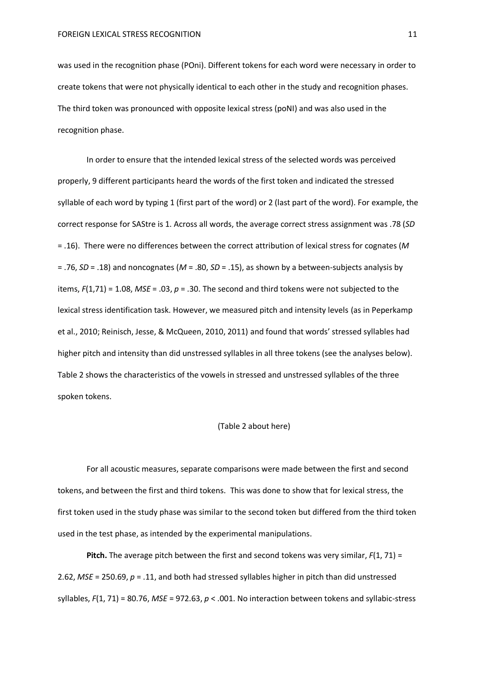was used in the recognition phase (POni). Different tokens for each word were necessary in order to create tokens that were not physically identical to each other in the study and recognition phases. The third token was pronounced with opposite lexical stress (poNI) and was also used in the recognition phase.

In order to ensure that the intended lexical stress of the selected words was perceived properly, 9 different participants heard the words of the first token and indicated the stressed syllable of each word by typing 1 (first part of the word) or 2 (last part of the word). For example, the correct response for SAStre is 1. Across all words, the average correct stress assignment was .78 (*SD* = .16). There were no differences between the correct attribution of lexical stress for cognates (*M* = .76, *SD* = .18) and noncognates (*M* = .80, *SD* = .15), as shown by a between-subjects analysis by items, *F*(1,71) = 1.08, *MSE* = .03, *p* = .30. The second and third tokens were not subjected to the lexical stress identification task. However, we measured pitch and intensity levels (as in Peperkamp et al., 2010; Reinisch, Jesse, & McQueen, 2010, 2011) and found that words' stressed syllables had higher pitch and intensity than did unstressed syllables in all three tokens (see the analyses below). Table 2 shows the characteristics of the vowels in stressed and unstressed syllables of the three spoken tokens.

#### (Table 2 about here)

For all acoustic measures, separate comparisons were made between the first and second tokens, and between the first and third tokens. This was done to show that for lexical stress, the first token used in the study phase was similar to the second token but differed from the third token used in the test phase, as intended by the experimental manipulations.

**Pitch.** The average pitch between the first and second tokens was very similar, *F*(1, 71) = 2.62, *MSE* = 250.69, *p* = .11, and both had stressed syllables higher in pitch than did unstressed syllables, *F*(1, 71) = 80.76, *MSE* = 972.63, *p* < .001. No interaction between tokens and syllabic-stress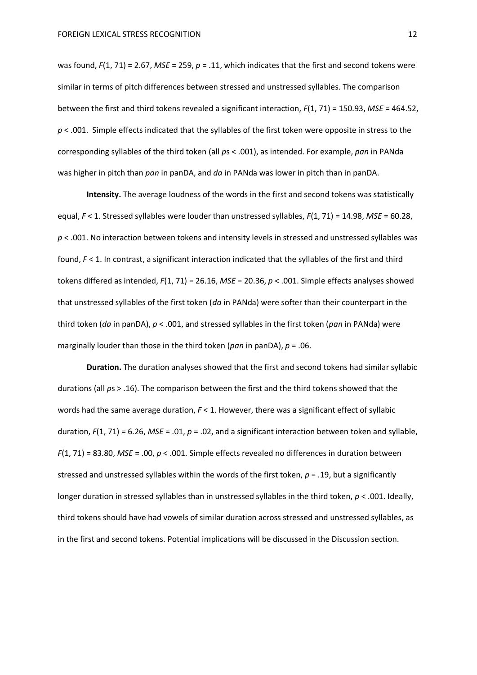was found,  $F(1, 71) = 2.67$ , *MSE* = 259,  $p = .11$ , which indicates that the first and second tokens were similar in terms of pitch differences between stressed and unstressed syllables. The comparison between the first and third tokens revealed a significant interaction, *F*(1, 71) = 150.93, *MSE* = 464.52, *p* < .001. Simple effects indicated that the syllables of the first token were opposite in stress to the corresponding syllables of the third token (all *p*s < .001), as intended. For example, *pan* in PANda was higher in pitch than *pan* in panDA, and *da* in PANda was lower in pitch than in panDA.

**Intensity.** The average loudness of the words in the first and second tokens was statistically equal, *F* < 1. Stressed syllables were louder than unstressed syllables, *F*(1, 71) = 14.98, *MSE* = 60.28, *p* < .001. No interaction between tokens and intensity levels in stressed and unstressed syllables was found,  $F$  < 1. In contrast, a significant interaction indicated that the syllables of the first and third tokens differed as intended, *F*(1, 71) = 26.16, *MSE* = 20.36, *p* < .001. Simple effects analyses showed that unstressed syllables of the first token (*da* in PANda) were softer than their counterpart in the third token (*da* in panDA), *p* < .001, and stressed syllables in the first token (*pan* in PANda) were marginally louder than those in the third token (*pan* in panDA), *p* = .06.

**Duration.** The duration analyses showed that the first and second tokens had similar syllabic durations (all *p*s > .16). The comparison between the first and the third tokens showed that the words had the same average duration,  $F < 1$ . However, there was a significant effect of syllabic duration, *F*(1, 71) = 6.26, *MSE* = .01, *p* = .02, and a significant interaction between token and syllable, *F*(1, 71) = 83.80, *MSE* = .00, *p* < .001. Simple effects revealed no differences in duration between stressed and unstressed syllables within the words of the first token, *p* = .19, but a significantly longer duration in stressed syllables than in unstressed syllables in the third token, *p* < .001. Ideally, third tokens should have had vowels of similar duration across stressed and unstressed syllables, as in the first and second tokens. Potential implications will be discussed in the Discussion section.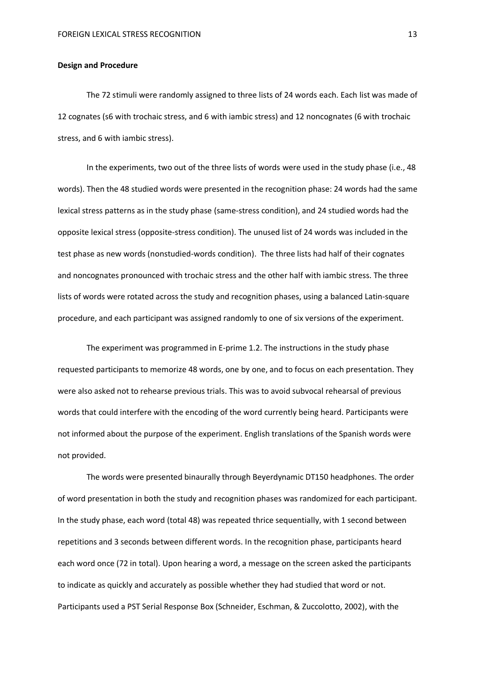### **Design and Procedure**

The 72 stimuli were randomly assigned to three lists of 24 words each. Each list was made of 12 cognates (s6 with trochaic stress, and 6 with iambic stress) and 12 noncognates (6 with trochaic stress, and 6 with iambic stress).

In the experiments, two out of the three lists of words were used in the study phase (i.e., 48 words). Then the 48 studied words were presented in the recognition phase: 24 words had the same lexical stress patterns as in the study phase (same-stress condition), and 24 studied words had the opposite lexical stress (opposite-stress condition). The unused list of 24 words was included in the test phase as new words (nonstudied-words condition). The three lists had half of their cognates and noncognates pronounced with trochaic stress and the other half with iambic stress. The three lists of words were rotated across the study and recognition phases, using a balanced Latin-square procedure, and each participant was assigned randomly to one of six versions of the experiment.

The experiment was programmed in E-prime 1.2. The instructions in the study phase requested participants to memorize 48 words, one by one, and to focus on each presentation. They were also asked not to rehearse previous trials. This was to avoid subvocal rehearsal of previous words that could interfere with the encoding of the word currently being heard. Participants were not informed about the purpose of the experiment. English translations of the Spanish words were not provided.

The words were presented binaurally through Beyerdynamic DT150 headphones. The order of word presentation in both the study and recognition phases was randomized for each participant. In the study phase, each word (total 48) was repeated thrice sequentially, with 1 second between repetitions and 3 seconds between different words. In the recognition phase, participants heard each word once (72 in total). Upon hearing a word, a message on the screen asked the participants to indicate as quickly and accurately as possible whether they had studied that word or not. Participants used a PST Serial Response Box (Schneider, Eschman, & Zuccolotto, 2002), with the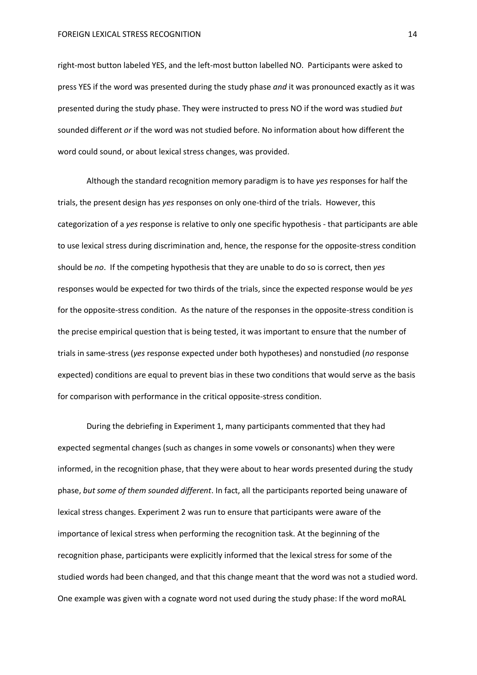right-most button labeled YES, and the left-most button labelled NO. Participants were asked to press YES if the word was presented during the study phase *and* it was pronounced exactly as it was presented during the study phase. They were instructed to press NO if the word was studied *but*  sounded different *or* if the word was not studied before. No information about how different the word could sound, or about lexical stress changes, was provided.

Although the standard recognition memory paradigm is to have *yes* responses for half the trials, the present design has *yes* responses on only one-third of the trials. However, this categorization of a *yes* response is relative to only one specific hypothesis - that participants are able to use lexical stress during discrimination and, hence, the response for the opposite-stress condition should be *no*. If the competing hypothesis that they are unable to do so is correct, then *yes* responses would be expected for two thirds of the trials, since the expected response would be *yes* for the opposite-stress condition. As the nature of the responses in the opposite-stress condition is the precise empirical question that is being tested, it was important to ensure that the number of trials in same-stress (*yes* response expected under both hypotheses) and nonstudied (*no* response expected) conditions are equal to prevent bias in these two conditions that would serve as the basis for comparison with performance in the critical opposite-stress condition.

During the debriefing in Experiment 1, many participants commented that they had expected segmental changes (such as changes in some vowels or consonants) when they were informed, in the recognition phase, that they were about to hear words presented during the study phase, *but some of them sounded different*. In fact, all the participants reported being unaware of lexical stress changes. Experiment 2 was run to ensure that participants were aware of the importance of lexical stress when performing the recognition task. At the beginning of the recognition phase, participants were explicitly informed that the lexical stress for some of the studied words had been changed, and that this change meant that the word was not a studied word. One example was given with a cognate word not used during the study phase: If the word moRAL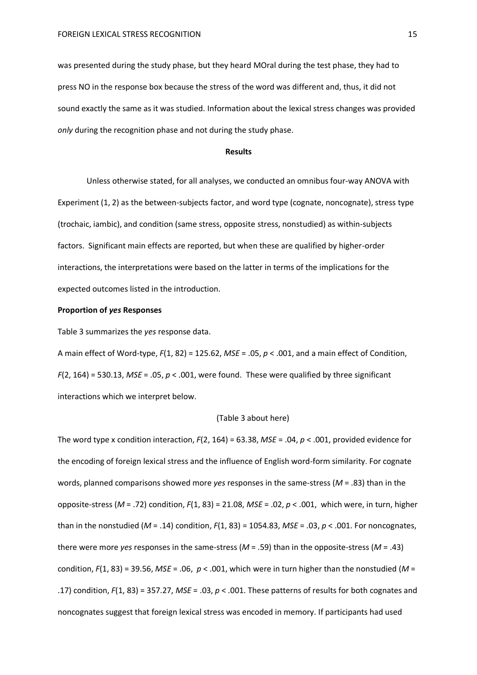was presented during the study phase, but they heard MOral during the test phase, they had to press NO in the response box because the stress of the word was different and, thus, it did not sound exactly the same as it was studied. Information about the lexical stress changes was provided *only* during the recognition phase and not during the study phase.

#### **Results**

Unless otherwise stated, for all analyses, we conducted an omnibus four-way ANOVA with Experiment (1, 2) as the between-subjects factor, and word type (cognate, noncognate), stress type (trochaic, iambic), and condition (same stress, opposite stress, nonstudied) as within-subjects factors. Significant main effects are reported, but when these are qualified by higher-order interactions, the interpretations were based on the latter in terms of the implications for the expected outcomes listed in the introduction.

### **Proportion of** *yes* **Responses**

Table 3 summarizes the *yes* response data.

A main effect of Word-type, *F*(1, 82) = 125.62, *MSE* = .05, *p* < .001, and a main effect of Condition, *F*(2, 164) = 530.13, *MSE* = .05, *p* < .001, were found. These were qualified by three significant interactions which we interpret below.

#### (Table 3 about here)

The word type x condition interaction, *F*(2, 164) = 63.38, *MSE* = .04, *p* < .001, provided evidence for the encoding of foreign lexical stress and the influence of English word-form similarity. For cognate words, planned comparisons showed more *yes* responses in the same-stress (*M* = .83) than in the opposite-stress (*M* = .72) condition, *F*(1, 83) = 21.08, *MSE* = .02, *p* < .001, which were, in turn, higher than in the nonstudied (*M* = .14) condition, *F*(1, 83) = 1054.83, *MSE* = .03, *p* < .001. For noncognates, there were more *yes* responses in the same-stress (*M* = .59) than in the opposite-stress (*M* = .43) condition,  $F(1, 83) = 39.56$ ,  $MSE = .06$ ,  $p < .001$ , which were in turn higher than the nonstudied ( $M =$ .17) condition, *F*(1, 83) = 357.27, *MSE* = .03, *p* < .001. These patterns of results for both cognates and noncognates suggest that foreign lexical stress was encoded in memory. If participants had used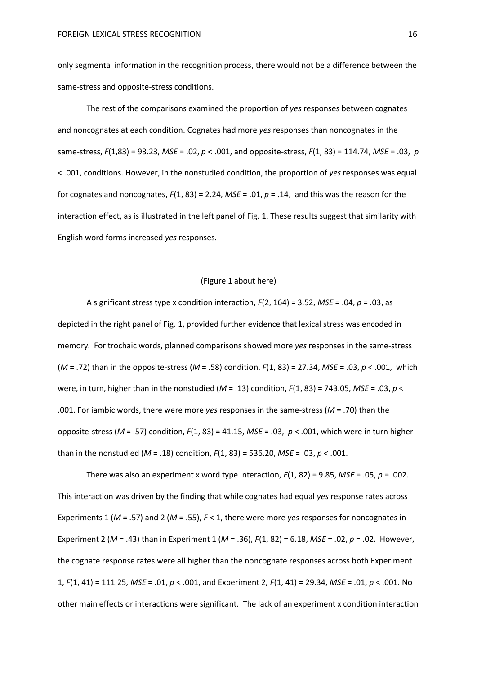only segmental information in the recognition process, there would not be a difference between the same-stress and opposite-stress conditions.

The rest of the comparisons examined the proportion of *yes* responses between cognates and noncognates at each condition. Cognates had more *yes* responses than noncognates in the same-stress, *F*(1,83) = 93.23, *MSE* = .02, *p* < .001, and opposite-stress, *F*(1, 83) = 114.74, *MSE* = .03, *p* < .001, conditions. However, in the nonstudied condition, the proportion of *yes* responses was equal for cognates and noncognates, *F*(1, 83) = 2.24, *MSE* = .01, *p* = .14, and this was the reason for the interaction effect, as is illustrated in the left panel of Fig. 1. These results suggest that similarity with English word forms increased *yes* responses.

### (Figure 1 about here)

A significant stress type x condition interaction, *F*(2, 164) = 3.52, *MSE* = .04, *p* = .03, as depicted in the right panel of Fig. 1, provided further evidence that lexical stress was encoded in memory. For trochaic words, planned comparisons showed more *yes* responses in the same-stress (*M* = .72) than in the opposite-stress (*M* = .58) condition, *F*(1, 83) = 27.34, *MSE* = .03, *p* < .001, which were, in turn, higher than in the nonstudied (*M* = .13) condition, *F*(1, 83) = 743.05, *MSE* = .03, *p* < .001. For iambic words, there were more *yes* responses in the same-stress (*M* = .70) than the opposite-stress (*M* = .57) condition, *F*(1, 83) = 41.15, *MSE* = .03, *p* < .001, which were in turn higher than in the nonstudied (*M* = .18) condition, *F*(1, 83) = 536.20, *MSE* = .03, *p* < .001.

There was also an experiment x word type interaction, *F*(1, 82) = 9.85, *MSE* = .05, *p* = .002. This interaction was driven by the finding that while cognates had equal *yes* response rates across Experiments 1 (*M* = .57) and 2 (*M* = .55), *F* < 1, there were more *yes* responses for noncognates in Experiment 2 (*M* = .43) than in Experiment 1 (*M* = .36), *F*(1, 82) = 6.18, *MSE* = .02, *p* = .02. However, the cognate response rates were all higher than the noncognate responses across both Experiment 1, *F*(1, 41) = 111.25, *MSE* = .01, *p* < .001, and Experiment 2, *F*(1, 41) = 29.34, *MSE* = .01, *p* < .001. No other main effects or interactions were significant. The lack of an experiment x condition interaction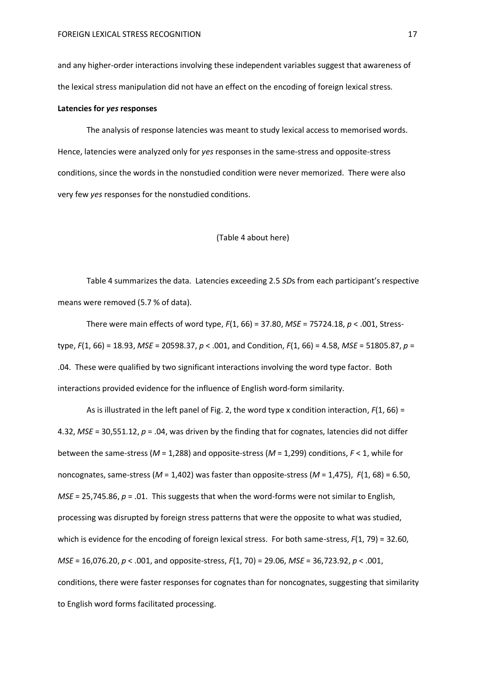and any higher-order interactions involving these independent variables suggest that awareness of the lexical stress manipulation did not have an effect on the encoding of foreign lexical stress.

#### **Latencies for** *yes* **responses**

The analysis of response latencies was meant to study lexical access to memorised words. Hence, latencies were analyzed only for *yes* responses in the same-stress and opposite-stress conditions, since the words in the nonstudied condition were never memorized. There were also very few *yes* responses for the nonstudied conditions.

#### (Table 4 about here)

Table 4 summarizes the data. Latencies exceeding 2.5 *SD*s from each participant's respective means were removed (5.7 % of data).

There were main effects of word type, *F*(1, 66) = 37.80, *MSE* = 75724.18, *p* < .001, Stresstype, *F*(1, 66) = 18.93, *MSE* = 20598.37, *p* < .001, and Condition, *F*(1, 66) = 4.58, *MSE* = 51805.87, *p* = .04. These were qualified by two significant interactions involving the word type factor. Both interactions provided evidence for the influence of English word-form similarity.

As is illustrated in the left panel of Fig. 2, the word type x condition interaction, *F*(1, 66) = 4.32, *MSE* = 30,551.12, *p* = .04, was driven by the finding that for cognates, latencies did not differ between the same-stress (*M* = 1,288) and opposite-stress (*M* = 1,299) conditions, *F* < 1, while for noncognates, same-stress (*M* = 1,402) was faster than opposite-stress (*M* = 1,475), *F*(1, 68) = 6.50, *MSE* = 25,745.86, *p* = .01. This suggests that when the word-forms were not similar to English, processing was disrupted by foreign stress patterns that were the opposite to what was studied, which is evidence for the encoding of foreign lexical stress. For both same-stress, *F*(1, 79) = 32.60, *MSE* = 16,076.20, *p* < .001, and opposite-stress, *F*(1, 70) = 29.06, *MSE* = 36,723.92, *p* < .001, conditions, there were faster responses for cognates than for noncognates, suggesting that similarity to English word forms facilitated processing.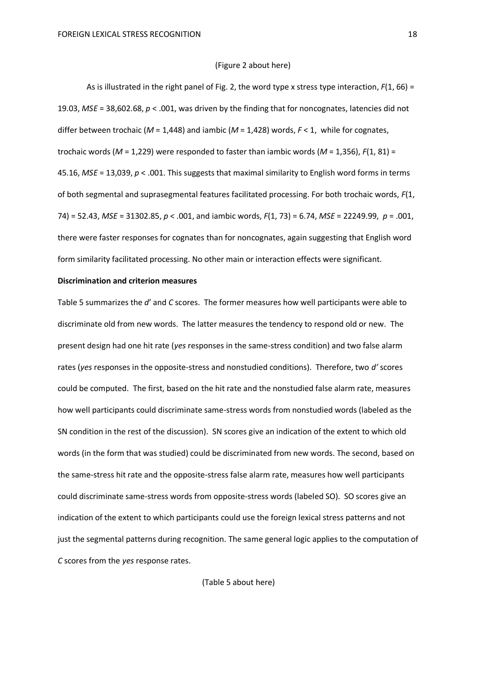#### (Figure 2 about here)

As is illustrated in the right panel of Fig. 2, the word type x stress type interaction, *F*(1, 66) = 19.03, *MSE* = 38,602.68, *p* < .001, was driven by the finding that for noncognates, latencies did not differ between trochaic (*M* = 1,448) and iambic (*M* = 1,428) words, *F* < 1, while for cognates, trochaic words (*M* = 1,229) were responded to faster than iambic words (*M* = 1,356), *F*(1, 81) = 45.16, *MSE* = 13,039, *p* < .001. This suggests that maximal similarity to English word forms in terms of both segmental and suprasegmental features facilitated processing. For both trochaic words, *F*(1, 74) = 52.43, *MSE* = 31302.85, *p* < .001, and iambic words, *F*(1, 73) = 6.74, *MSE* = 22249.99, *p* = .001, there were faster responses for cognates than for noncognates, again suggesting that English word form similarity facilitated processing. No other main or interaction effects were significant.

#### **Discrimination and criterion measures**

Table 5 summarizes the *d*' and *C* scores. The former measures how well participants were able to discriminate old from new words. The latter measures the tendency to respond old or new. The present design had one hit rate (*yes* responses in the same-stress condition) and two false alarm rates (*yes* responses in the opposite-stress and nonstudied conditions). Therefore, two *d'* scores could be computed. The first, based on the hit rate and the nonstudied false alarm rate, measures how well participants could discriminate same-stress words from nonstudied words (labeled as the SN condition in the rest of the discussion). SN scores give an indication of the extent to which old words (in the form that was studied) could be discriminated from new words. The second, based on the same-stress hit rate and the opposite-stress false alarm rate, measures how well participants could discriminate same-stress words from opposite-stress words (labeled SO). SO scores give an indication of the extent to which participants could use the foreign lexical stress patterns and not just the segmental patterns during recognition. The same general logic applies to the computation of *C* scores from the *yes* response rates.

(Table 5 about here)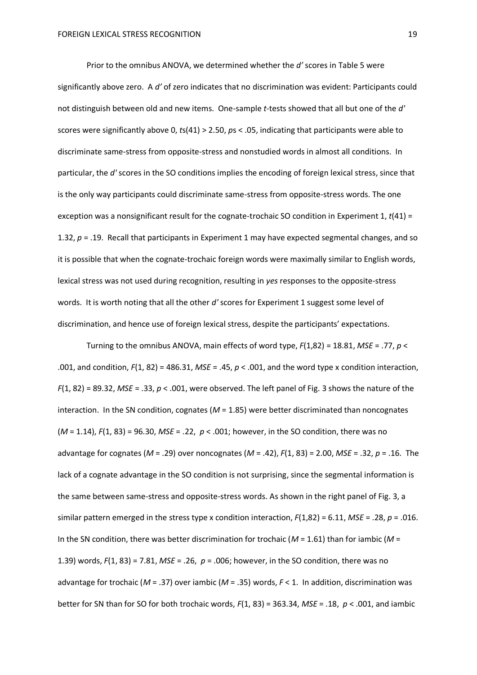Prior to the omnibus ANOVA, we determined whether the *d'* scores in Table 5 were significantly above zero. A *d'* of zero indicates that no discrimination was evident: Participants could not distinguish between old and new items. One-sample *t*-tests showed that all but one of the *d'* scores were significantly above 0, *t*s(41) > 2.50, *p*s < .05, indicating that participants were able to discriminate same-stress from opposite-stress and nonstudied words in almost all conditions. In particular, the *d'* scores in the SO conditions implies the encoding of foreign lexical stress, since that is the only way participants could discriminate same-stress from opposite-stress words. The one exception was a nonsignificant result for the cognate-trochaic SO condition in Experiment 1, *t*(41) = 1.32, *p* = .19. Recall that participants in Experiment 1 may have expected segmental changes, and so it is possible that when the cognate-trochaic foreign words were maximally similar to English words, lexical stress was not used during recognition, resulting in *yes* responses to the opposite-stress words. It is worth noting that all the other *d'* scores for Experiment 1 suggest some level of discrimination, and hence use of foreign lexical stress, despite the participants' expectations.

Turning to the omnibus ANOVA, main effects of word type, *F*(1,82) = 18.81, *MSE* = .77, *p* < .001, and condition, *F*(1, 82) = 486.31, *MSE* = .45, *p* < .001, and the word type x condition interaction, *F*(1, 82) = 89.32, *MSE* = .33, *p* < .001, were observed. The left panel of Fig. 3 shows the nature of the interaction. In the SN condition, cognates (*M* = 1.85) were better discriminated than noncognates (*M* = 1.14), *F*(1, 83) = 96.30, *MSE* = .22, *p* < .001; however, in the SO condition, there was no advantage for cognates (*M* = .29) over noncognates (*M* = .42), *F*(1, 83) = 2.00, *MSE* = .32, *p* = .16. The lack of a cognate advantage in the SO condition is not surprising, since the segmental information is the same between same-stress and opposite-stress words. As shown in the right panel of Fig. 3, a similar pattern emerged in the stress type x condition interaction, *F*(1,82) = 6.11, *MSE* = .28, *p* = .016. In the SN condition, there was better discrimination for trochaic (*M* = 1.61) than for iambic (*M* = 1.39) words, *F*(1, 83) = 7.81, *MSE* = .26, *p* = .006; however, in the SO condition, there was no advantage for trochaic (*M* = .37) over iambic (*M* = .35) words, *F* < 1. In addition, discrimination was better for SN than for SO for both trochaic words, *F*(1, 83) = 363.34, *MSE* = .18, *p* < .001, and iambic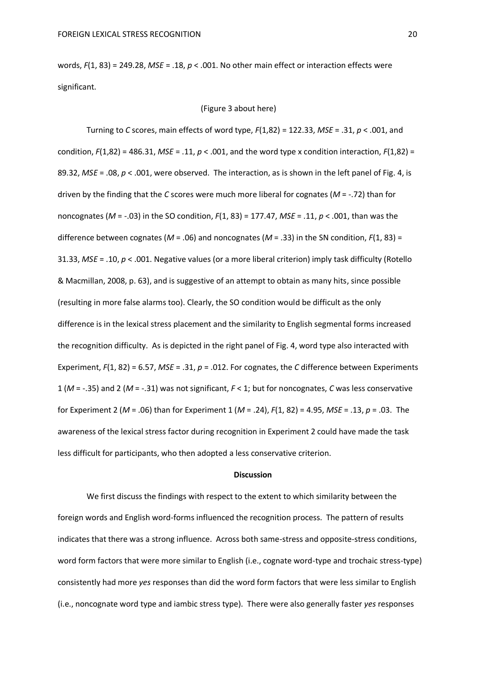words, *F*(1, 83) = 249.28, *MSE* = .18, *p* < .001. No other main effect or interaction effects were significant.

### (Figure 3 about here)

Turning to *C* scores, main effects of word type, *F*(1,82) = 122.33, *MSE* = .31, *p* < .001, and condition, *F*(1,82) = 486.31, *MSE* = .11, *p* < .001, and the word type x condition interaction, *F*(1,82) = 89.32, *MSE* = .08, *p* < .001, were observed. The interaction, as is shown in the left panel of Fig. 4, is driven by the finding that the *C* scores were much more liberal for cognates (*M* = -.72) than for noncognates (*M* = -.03) in the SO condition, *F*(1, 83) = 177.47, *MSE* = .11, *p* < .001, than was the difference between cognates (*M* = .06) and noncognates (*M* = .33) in the SN condition, *F*(1, 83) = 31.33, *MSE* = .10, *p* < .001. Negative values (or a more liberal criterion) imply task difficulty (Rotello & Macmillan, 2008, p. 63), and is suggestive of an attempt to obtain as many hits, since possible (resulting in more false alarms too). Clearly, the SO condition would be difficult as the only difference is in the lexical stress placement and the similarity to English segmental forms increased the recognition difficulty. As is depicted in the right panel of Fig. 4, word type also interacted with Experiment, *F*(1, 82) = 6.57, *MSE* = .31, *p* = .012. For cognates, the *C* difference between Experiments 1 (*M* = -.35) and 2 (*M* = -.31) was not significant, *F* < 1; but for noncognates, *C* was less conservative for Experiment 2 (*M* = .06) than for Experiment 1 (*M* = .24), *F*(1, 82) = 4.95, *MSE* = .13, *p* = .03. The awareness of the lexical stress factor during recognition in Experiment 2 could have made the task less difficult for participants, who then adopted a less conservative criterion.

#### **Discussion**

We first discuss the findings with respect to the extent to which similarity between the foreign words and English word-forms influenced the recognition process. The pattern of results indicates that there was a strong influence. Across both same-stress and opposite-stress conditions, word form factors that were more similar to English (i.e., cognate word-type and trochaic stress-type) consistently had more *yes* responses than did the word form factors that were less similar to English (i.e., noncognate word type and iambic stress type). There were also generally faster *yes* responses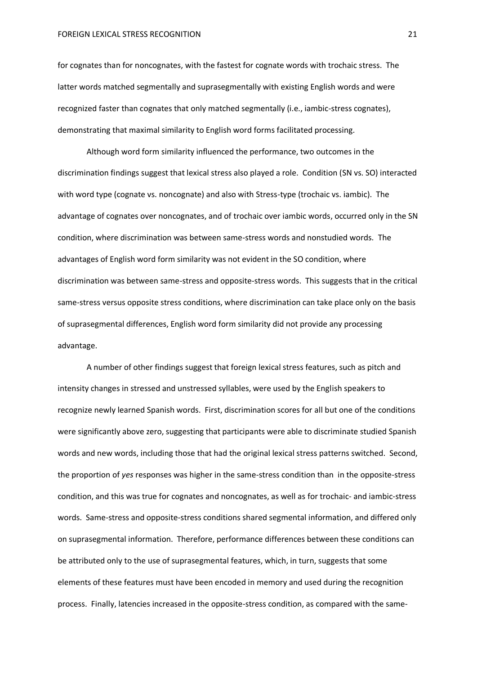for cognates than for noncognates, with the fastest for cognate words with trochaic stress. The latter words matched segmentally and suprasegmentally with existing English words and were recognized faster than cognates that only matched segmentally (i.e., iambic-stress cognates), demonstrating that maximal similarity to English word forms facilitated processing.

Although word form similarity influenced the performance, two outcomes in the discrimination findings suggest that lexical stress also played a role. Condition (SN vs. SO) interacted with word type (cognate vs. noncognate) and also with Stress-type (trochaic vs. iambic). The advantage of cognates over noncognates, and of trochaic over iambic words, occurred only in the SN condition, where discrimination was between same-stress words and nonstudied words. The advantages of English word form similarity was not evident in the SO condition, where discrimination was between same-stress and opposite-stress words. This suggests that in the critical same-stress versus opposite stress conditions, where discrimination can take place only on the basis of suprasegmental differences, English word form similarity did not provide any processing advantage.

A number of other findings suggest that foreign lexical stress features, such as pitch and intensity changes in stressed and unstressed syllables, were used by the English speakers to recognize newly learned Spanish words. First, discrimination scores for all but one of the conditions were significantly above zero, suggesting that participants were able to discriminate studied Spanish words and new words, including those that had the original lexical stress patterns switched. Second, the proportion of *yes* responses was higher in the same-stress condition than in the opposite-stress condition, and this was true for cognates and noncognates, as well as for trochaic- and iambic-stress words. Same-stress and opposite-stress conditions shared segmental information, and differed only on suprasegmental information. Therefore, performance differences between these conditions can be attributed only to the use of suprasegmental features, which, in turn, suggests that some elements of these features must have been encoded in memory and used during the recognition process. Finally, latencies increased in the opposite-stress condition, as compared with the same-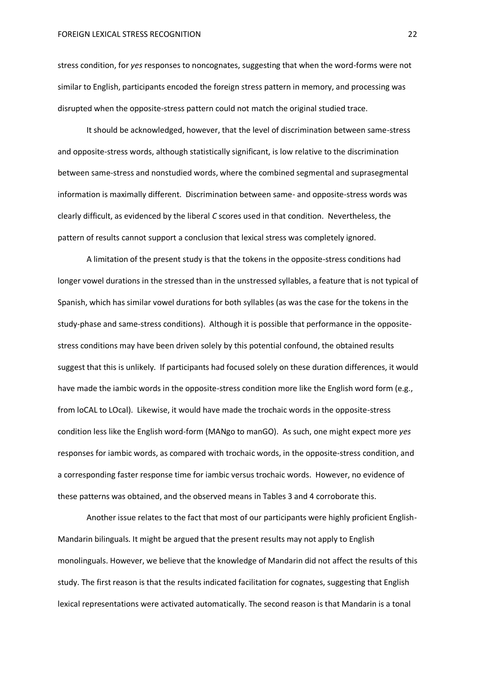stress condition, for *yes* responses to noncognates, suggesting that when the word-forms were not similar to English, participants encoded the foreign stress pattern in memory, and processing was disrupted when the opposite-stress pattern could not match the original studied trace.

It should be acknowledged, however, that the level of discrimination between same-stress and opposite-stress words, although statistically significant, is low relative to the discrimination between same-stress and nonstudied words, where the combined segmental and suprasegmental information is maximally different. Discrimination between same- and opposite-stress words was clearly difficult, as evidenced by the liberal *C* scores used in that condition. Nevertheless, the pattern of results cannot support a conclusion that lexical stress was completely ignored.

A limitation of the present study is that the tokens in the opposite-stress conditions had longer vowel durations in the stressed than in the unstressed syllables, a feature that is not typical of Spanish, which has similar vowel durations for both syllables (as was the case for the tokens in the study-phase and same-stress conditions). Although it is possible that performance in the oppositestress conditions may have been driven solely by this potential confound, the obtained results suggest that this is unlikely. If participants had focused solely on these duration differences, it would have made the iambic words in the opposite-stress condition more like the English word form (e.g., from loCAL to LOcal). Likewise, it would have made the trochaic words in the opposite-stress condition less like the English word-form (MANgo to manGO). As such, one might expect more *yes* responses for iambic words, as compared with trochaic words, in the opposite-stress condition, and a corresponding faster response time for iambic versus trochaic words. However, no evidence of these patterns was obtained, and the observed means in Tables 3 and 4 corroborate this.

Another issue relates to the fact that most of our participants were highly proficient English-Mandarin bilinguals. It might be argued that the present results may not apply to English monolinguals. However, we believe that the knowledge of Mandarin did not affect the results of this study. The first reason is that the results indicated facilitation for cognates, suggesting that English lexical representations were activated automatically. The second reason is that Mandarin is a tonal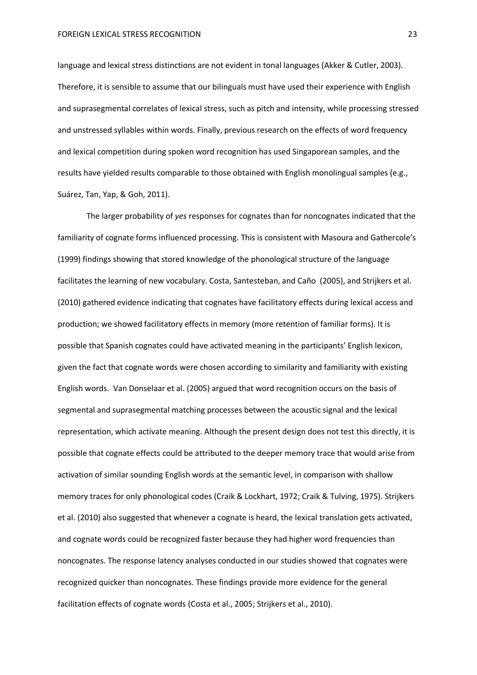language and lexical stress distinctions are not evident in tonal languages (Akker & Cutler, 2003). Therefore, it is sensible to assume that our bilinguals must have used their experience with English and suprasegmental correlates of lexical stress, such as pitch and intensity, while processing stressed and unstressed syllables within words. Finally, previous research on the effects of word frequency and lexical competition during spoken word recognition has used Singaporean samples, and the results have yielded results comparable to those obtained with English monolingual samples (e.g., Suárez, Tan, Yap, & Goh, 2011).

The larger probability of *yes* responses for cognates than for noncognates indicated that the familiarity of cognate forms influenced processing. This is consistent with Masoura and Gathercole's (1999) findings showing that stored knowledge of the phonological structure of the language facilitates the learning of new vocabulary. Costa, Santesteban, and Caño (2005), and Strijkers et al. (2010) gathered evidence indicating that cognates have facilitatory effects during lexical access and production; we showed facilitatory effects in memory (more retention of familiar forms). It is possible that Spanish cognates could have activated meaning in the participants' English lexicon, given the fact that cognate words were chosen according to similarity and familiarity with existing English words. Van Donselaar et al. (2005) argued that word recognition occurs on the basis of segmental and suprasegmental matching processes between the acoustic signal and the lexical representation, which activate meaning. Although the present design does not test this directly, it is possible that cognate effects could be attributed to the deeper memory trace that would arise from activation of similar sounding English words at the semantic level, in comparison with shallow memory traces for only phonological codes (Craik & Lockhart, 1972; Craik & Tulving, 1975). Strijkers et al. (2010) also suggested that whenever a cognate is heard, the lexical translation gets activated, and cognate words could be recognized faster because they had higher word frequencies than noncognates. The response latency analyses conducted in our studies showed that cognates were recognized quicker than noncognates. These findings provide more evidence for the general facilitation effects of cognate words (Costa et al., 2005; Strijkers et al., 2010).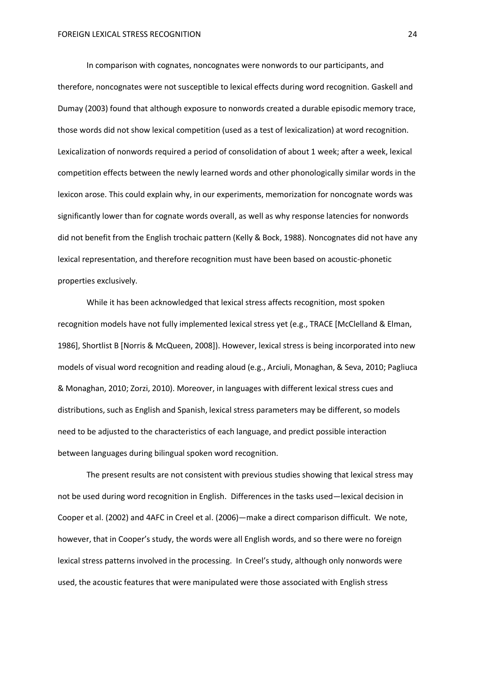In comparison with cognates, noncognates were nonwords to our participants, and therefore, noncognates were not susceptible to lexical effects during word recognition. Gaskell and Dumay (2003) found that although exposure to nonwords created a durable episodic memory trace, those words did not show lexical competition (used as a test of lexicalization) at word recognition. Lexicalization of nonwords required a period of consolidation of about 1 week; after a week, lexical competition effects between the newly learned words and other phonologically similar words in the lexicon arose. This could explain why, in our experiments, memorization for noncognate words was significantly lower than for cognate words overall, as well as why response latencies for nonwords did not benefit from the English trochaic pattern (Kelly & Bock, 1988). Noncognates did not have any lexical representation, and therefore recognition must have been based on acoustic-phonetic properties exclusively.

While it has been acknowledged that lexical stress affects recognition, most spoken recognition models have not fully implemented lexical stress yet (e.g., TRACE [McClelland & Elman, 1986], Shortlist B [Norris & McQueen, 2008]). However, lexical stress is being incorporated into new models of visual word recognition and reading aloud (e.g., Arciuli, Monaghan, & Seva, 2010; Pagliuca & Monaghan, 2010; Zorzi, 2010). Moreover, in languages with different lexical stress cues and distributions, such as English and Spanish, lexical stress parameters may be different, so models need to be adjusted to the characteristics of each language, and predict possible interaction between languages during bilingual spoken word recognition.

The present results are not consistent with previous studies showing that lexical stress may not be used during word recognition in English. Differences in the tasks used—lexical decision in Cooper et al. (2002) and 4AFC in Creel et al. (2006)—make a direct comparison difficult. We note, however, that in Cooper's study, the words were all English words, and so there were no foreign lexical stress patterns involved in the processing. In Creel's study, although only nonwords were used, the acoustic features that were manipulated were those associated with English stress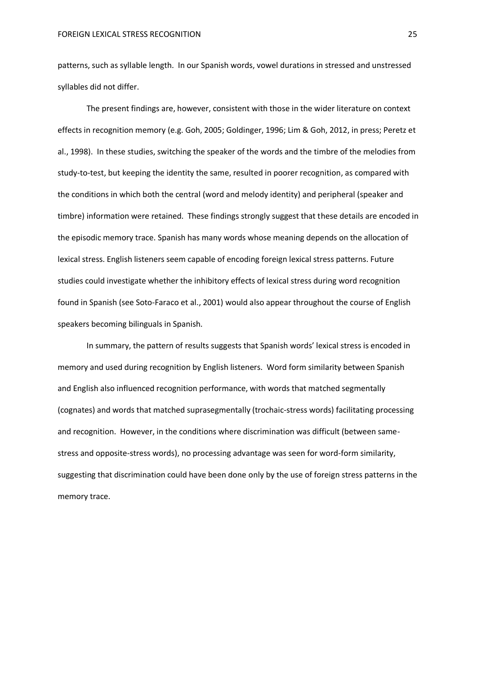patterns, such as syllable length. In our Spanish words, vowel durations in stressed and unstressed syllables did not differ.

The present findings are, however, consistent with those in the wider literature on context effects in recognition memory (e.g. Goh, 2005; Goldinger, 1996; Lim & Goh, 2012, in press; Peretz et al., 1998). In these studies, switching the speaker of the words and the timbre of the melodies from study-to-test, but keeping the identity the same, resulted in poorer recognition, as compared with the conditions in which both the central (word and melody identity) and peripheral (speaker and timbre) information were retained. These findings strongly suggest that these details are encoded in the episodic memory trace. Spanish has many words whose meaning depends on the allocation of lexical stress. English listeners seem capable of encoding foreign lexical stress patterns. Future studies could investigate whether the inhibitory effects of lexical stress during word recognition found in Spanish (see Soto-Faraco et al., 2001) would also appear throughout the course of English speakers becoming bilinguals in Spanish.

In summary, the pattern of results suggests that Spanish words' lexical stress is encoded in memory and used during recognition by English listeners. Word form similarity between Spanish and English also influenced recognition performance, with words that matched segmentally (cognates) and words that matched suprasegmentally (trochaic-stress words) facilitating processing and recognition. However, in the conditions where discrimination was difficult (between samestress and opposite-stress words), no processing advantage was seen for word-form similarity, suggesting that discrimination could have been done only by the use of foreign stress patterns in the memory trace.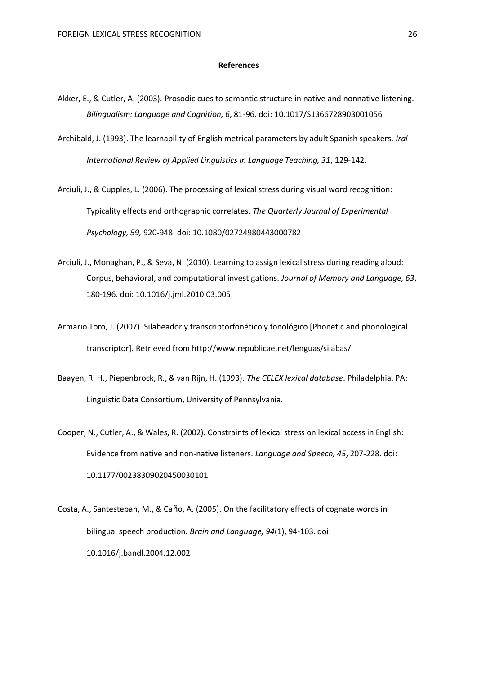#### **References**

- Akker, E., & Cutler, A. (2003). Prosodic cues to semantic structure in native and nonnative listening. *Bilingualism: Language and Cognition, 6*, 81-96. doi: 10.1017/S1366728903001056
- Archibald, J. (1993). The learnability of English metrical parameters by adult Spanish speakers. *Iral-International Review of Applied Linguistics in Language Teaching, 31*, 129-142.
- Arciuli, J., & Cupples, L. (2006). The processing of lexical stress during visual word recognition: Typicality effects and orthographic correlates. *The Quarterly Journal of Experimental Psychology, 59,* 920-948. doi: 10.1080/02724980443000782
- Arciuli, J., Monaghan, P., & Seva, N. (2010). Learning to assign lexical stress during reading aloud: Corpus, behavioral, and computational investigations. *Journal of Memory and Language, 63*, 180-196. doi: 10.1016/j.jml.2010.03.005
- Armario Toro, J. (2007). Silabeador y transcriptorfonético y fonológico [Phonetic and phonological transcriptor]. Retrieved fro[m http://www.](http://www/)republicae.net/lenguas/silabas/
- Baayen, R. H., Piepenbrock, R., & van Rijn, H. (1993). *The CELEX lexical database*. Philadelphia, PA: Linguistic Data Consortium, University of Pennsylvania.
- Cooper, N., Cutler, A., & Wales, R. (2002). Constraints of lexical stress on lexical access in English: Evidence from native and non-native listeners. *Language and Speech, 45*, 207-228. doi: 10.1177/00238309020450030101
- Costa, A., Santesteban, M., & Caño, A. (2005). On the facilitatory effects of cognate words in bilingual speech production. *Brain and Language, 94*(1), 94-103. doi: 10.1016/j.bandl.2004.12.002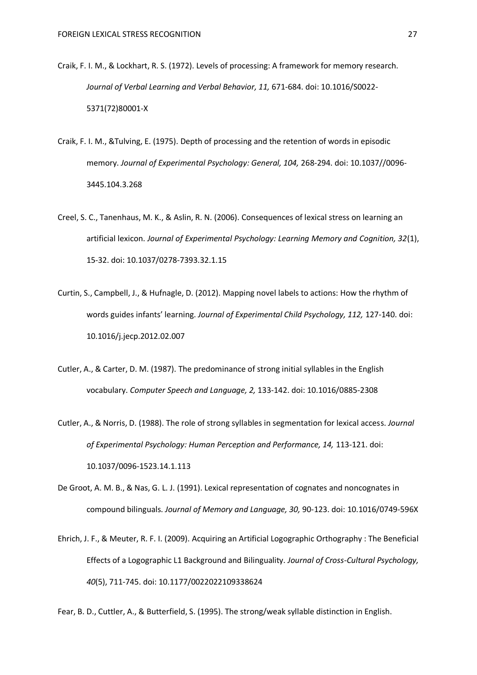- Craik, F. I. M., & Lockhart, R. S. (1972). Levels of processing: A framework for memory research. *Journal of Verbal Learning and Verbal Behavior, 11,* 671-684. doi: 10.1016/S0022- 5371(72)80001-X
- Craik, F. I. M., &Tulving, E. (1975). Depth of processing and the retention of words in episodic memory. *Journal of Experimental Psychology: General, 104,* 268-294. doi: 10.1037//0096- 3445.104.3.268
- Creel, S. C., Tanenhaus, M. K., & Aslin, R. N. (2006). Consequences of lexical stress on learning an artificial lexicon. *Journal of Experimental Psychology: Learning Memory and Cognition, 32*(1), 15-32. doi: 10.1037/0278-7393.32.1.15
- Curtin, S., Campbell, J., & Hufnagle, D. (2012). Mapping novel labels to actions: How the rhythm of words guides infants' learning. *Journal of Experimental Child Psychology, 112,* 127-140. doi: 10.1016/j.jecp.2012.02.007
- Cutler, A., & Carter, D. M. (1987). The predominance of strong initial syllables in the English vocabulary. *Computer Speech and Language, 2,* 133-142. doi: 10.1016/0885-2308
- Cutler, A., & Norris, D. (1988). The role of strong syllables in segmentation for lexical access. *Journal of Experimental Psychology: Human Perception and Performance, 14,* 113-121. doi: 10.1037/0096-1523.14.1.113
- De Groot, A. M. B., & Nas, G. L. J. (1991). Lexical representation of cognates and noncognates in compound bilinguals. *Journal of Memory and Language, 30,* 90-123. doi: 10.1016/0749-596X
- Ehrich, J. F., & Meuter, R. F. I. (2009). Acquiring an Artificial Logographic Orthography : The Beneficial Effects of a Logographic L1 Background and Bilinguality. *Journal of Cross-Cultural Psychology, 40*(5), 711-745. doi: 10.1177/0022022109338624

Fear, B. D., Cuttler, A., & Butterfield, S. (1995). The strong/weak syllable distinction in English.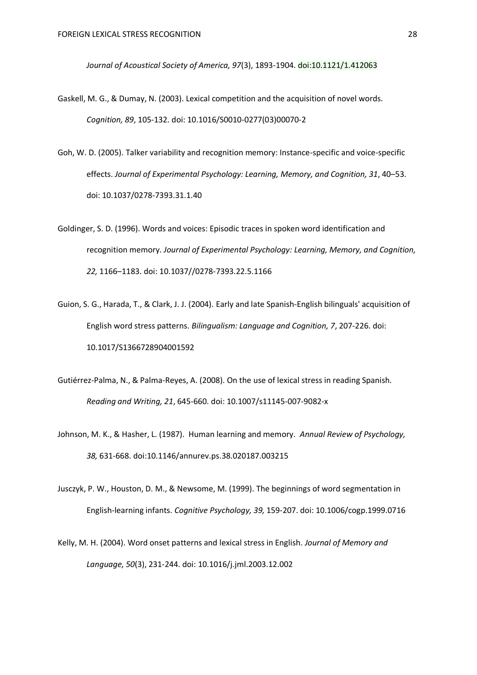*Journal of Acoustical Society of America, 97*(3), 1893-1904. doi:10.1121/1.412063

- Gaskell, M. G., & Dumay, N. (2003). Lexical competition and the acquisition of novel words. *Cognition, 89*, 105-132. doi: 10.1016/S0010-0277(03)00070-2
- Goh, W. D. (2005). Talker variability and recognition memory: Instance-specific and voice-specific effects. *Journal of Experimental Psychology: Learning, Memory, and Cognition, 31*, 40–53. doi: 10.1037/0278-7393.31.1.40
- Goldinger, S. D. (1996). Words and voices: Episodic traces in spoken word identification and recognition memory. *Journal of Experimental Psychology: Learning, Memory, and Cognition, 22,* 1166–1183. doi: 10.1037//0278-7393.22.5.1166
- Guion, S. G., Harada, T., & Clark, J. J. (2004). Early and late Spanish-English bilinguals' acquisition of English word stress patterns. *Bilingualism: Language and Cognition, 7*, 207-226. doi: 10.1017/S1366728904001592
- Gutiérrez-Palma, N., & Palma-Reyes, A. (2008). On the use of lexical stress in reading Spanish. *Reading and Writing, 21*, 645-660. doi: 10.1007/s11145-007-9082-x
- Johnson, M. K., & Hasher, L. (1987). Human learning and memory. *Annual Review of Psychology, 38,* 631-668. doi:10.1146/annurev.ps.38.020187.003215
- Jusczyk, P. W., Houston, D. M., & Newsome, M. (1999). The beginnings of word segmentation in English-learning infants. *Cognitive Psychology, 39,* 159-207. doi: 10.1006/cogp.1999.0716
- Kelly, M. H. (2004). Word onset patterns and lexical stress in English. *Journal of Memory and Language, 50*(3), 231-244. doi: 10.1016/j.jml.2003.12.002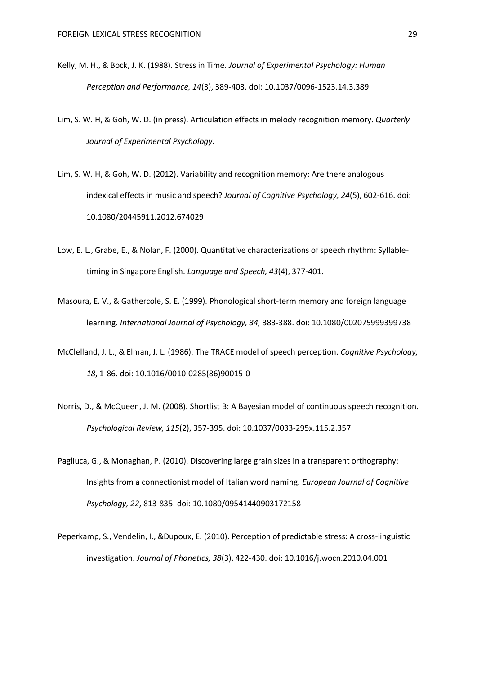- Kelly, M. H., & Bock, J. K. (1988). Stress in Time. *Journal of Experimental Psychology: Human Perception and Performance, 14*(3), 389-403. doi: 10.1037/0096-1523.14.3.389
- Lim, S. W. H, & Goh, W. D. (in press). Articulation effects in melody recognition memory. *Quarterly Journal of Experimental Psychology.*
- Lim, S. W. H, & Goh, W. D. (2012). Variability and recognition memory: Are there analogous indexical effects in music and speech? *Journal of Cognitive Psychology, 24*(5), 602-616. doi: 10.1080/20445911.2012.674029
- Low, E. L., Grabe, E., & Nolan, F. (2000). Quantitative characterizations of speech rhythm: Syllabletiming in Singapore English. *Language and Speech, 43*(4), 377-401.
- Masoura, E. V., & Gathercole, S. E. (1999). Phonological short-term memory and foreign language learning. *International Journal of Psychology, 34,* 383-388. doi: 10.1080/002075999399738
- McClelland, J. L., & Elman, J. L. (1986). The TRACE model of speech perception. *Cognitive Psychology, 18*, 1-86. doi: 10.1016/0010-0285(86)90015-0
- Norris, D., & McQueen, J. M. (2008). Shortlist B: A Bayesian model of continuous speech recognition. *Psychological Review, 115*(2), 357-395. doi: 10.1037/0033-295x.115.2.357
- Pagliuca, G., & Monaghan, P. (2010). Discovering large grain sizes in a transparent orthography: Insights from a connectionist model of Italian word naming. *European Journal of Cognitive Psychology, 22*, 813-835. doi: 10.1080/09541440903172158
- Peperkamp, S., Vendelin, I., &Dupoux, E. (2010). Perception of predictable stress: A cross-linguistic investigation. *Journal of Phonetics, 38*(3), 422-430. doi: 10.1016/j.wocn.2010.04.001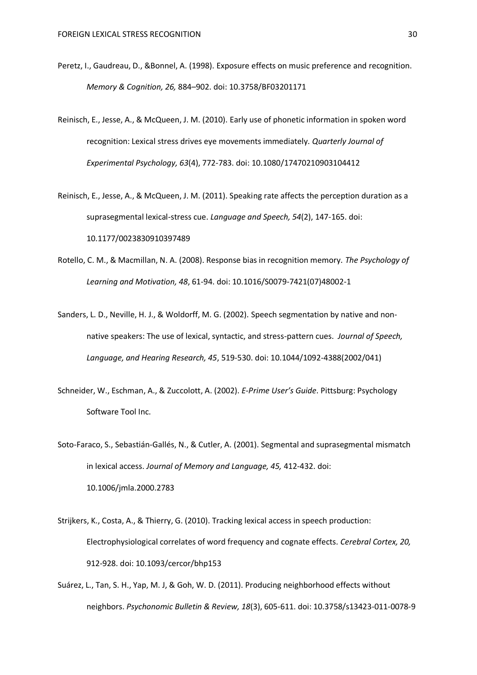- Peretz, I., Gaudreau, D., &Bonnel, A. (1998). Exposure effects on music preference and recognition. *Memory & Cognition, 26,* 884–902. doi: 10.3758/BF03201171
- Reinisch, E., Jesse, A., & McQueen, J. M. (2010). Early use of phonetic information in spoken word recognition: Lexical stress drives eye movements immediately. *Quarterly Journal of Experimental Psychology, 63*(4), 772-783. doi: 10.1080/17470210903104412
- Reinisch, E., Jesse, A., & McQueen, J. M. (2011). Speaking rate affects the perception duration as a suprasegmental lexical-stress cue. *Language and Speech, 54*(2), 147-165. doi: 10.1177/0023830910397489
- Rotello, C. M., & Macmillan, N. A. (2008). Response bias in recognition memory. *The Psychology of Learning and Motivation, 48*, 61-94. doi: 10.1016/S0079-7421(07)48002-1
- Sanders, L. D., Neville, H. J., & Woldorff, M. G. (2002). Speech segmentation by native and nonnative speakers: The use of lexical, syntactic, and stress-pattern cues. *Journal of Speech, Language, and Hearing Research, 45*, 519-530. doi: 10.1044/1092-4388(2002/041)
- Schneider, W., Eschman, A., & Zuccolott, A. (2002). *E-Prime User's Guide*. Pittsburg: Psychology Software Tool Inc.
- Soto-Faraco, S., Sebastián-Gallés, N., & Cutler, A. (2001). Segmental and suprasegmental mismatch in lexical access. *Journal of Memory and Language, 45,* 412-432. doi: 10.1006/jmla.2000.2783
- Strijkers, K., Costa, A., & Thierry, G. (2010). Tracking lexical access in speech production: Electrophysiological correlates of word frequency and cognate effects. *Cerebral Cortex, 20,*  912-928. doi: 10.1093/cercor/bhp153
- Suárez, L., Tan, S. H., Yap, M. J, & Goh, W. D. (2011). Producing neighborhood effects without neighbors. *Psychonomic Bulletin & Review, 18*(3), 605-611. doi: 10.3758/s13423-011-0078-9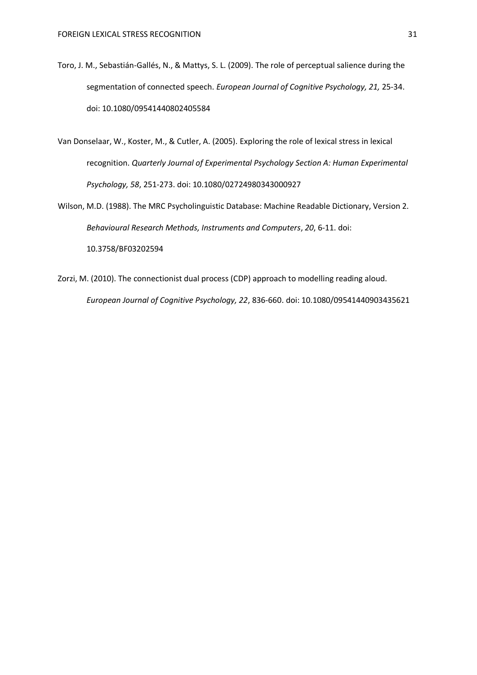- Toro, J. M., Sebastián-Gallés, N., & Mattys, S. L. (2009). The role of perceptual salience during the segmentation of connected speech. *European Journal of Cognitive Psychology, 21,* 25-34. doi: 10.1080/09541440802405584
- Van Donselaar, W., Koster, M., & Cutler, A. (2005). Exploring the role of lexical stress in lexical recognition. *Quarterly Journal of Experimental Psychology Section A: Human Experimental Psychology, 58*, 251-273. doi: 10.1080/02724980343000927
- Wilson, M.D. (1988). The MRC Psycholinguistic Database: Machine Readable Dictionary, Version 2. *Behavioural Research Methods, Instruments and Computers*, *20*, 6-11. doi: 10.3758/BF03202594
- Zorzi, M. (2010). The connectionist dual process (CDP) approach to modelling reading aloud. *European Journal of Cognitive Psychology, 22*, 836-660. doi: 10.1080/09541440903435621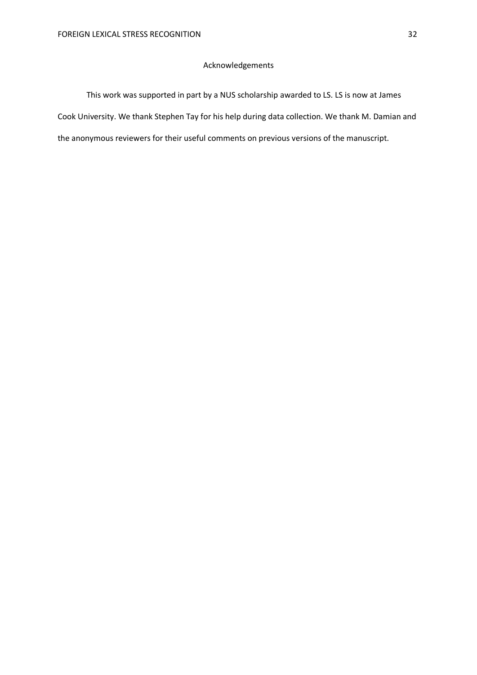## Acknowledgements

This work was supported in part by a NUS scholarship awarded to LS. LS is now at James Cook University. We thank Stephen Tay for his help during data collection. We thank M. Damian and the anonymous reviewers for their useful comments on previous versions of the manuscript.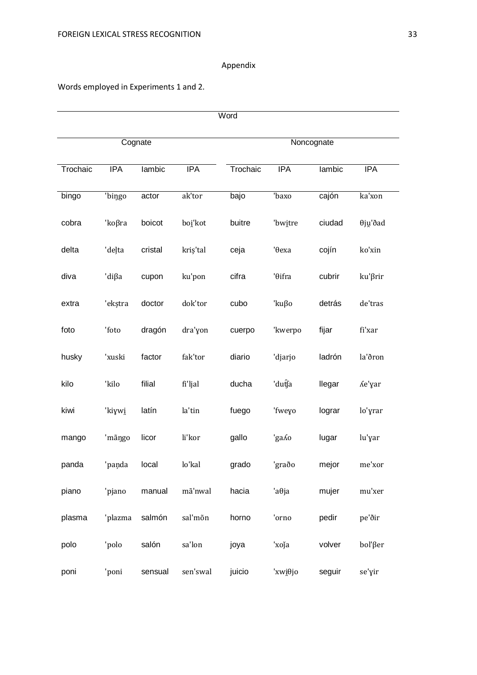# Appendix

# Words employed in Experiments 1 and 2.

| Word     |            |         |            |            |                |        |            |  |  |
|----------|------------|---------|------------|------------|----------------|--------|------------|--|--|
|          |            | Cognate |            | Noncognate |                |        |            |  |  |
| Trochaic | <b>IPA</b> | lambic  | <b>IPA</b> | Trochaic   | <b>IPA</b>     | lambic | <b>IPA</b> |  |  |
| bingo    | 'bingo     | actor   | ak'tor     | bajo       | 'baxo          | cajón  | ka'xon     |  |  |
| cobra    | 'koβra     | boicot  | boi'kot    | buitre     | 'bwitre        | ciudad | θjų'ðad    |  |  |
| delta    | 'deļta     | cristal | kriș'tal   | ceja       | 'Өеха          | cojín  | ko'xin     |  |  |
| diva     | 'diβa      | cupon   | ku'pon     | cifra      | 'θifra         | cubrir | ku'βrir    |  |  |
| extra    | 'ekștra    | doctor  | dok'tor    | cubo       | 'kuβo          | detrás | de'tras    |  |  |
| foto     | 'foto      | dragón  | dra'yon    | cuerpo     | 'kwerpo        | fijar  | fi'xar     |  |  |
| husky    | 'xuski     | factor  | fak'tor    | diario     | 'djarjo        | ladrón | la'ðron    |  |  |
| kilo     | 'kilo      | filial  | fi'ljal    | ducha      | 'dutĴa         | llegar | Λe'yar     |  |  |
| kiwi     | 'kiywi     | latín   | la'tin     | fuego      | 'fweyo         | lograr | lo'yrar    |  |  |
| mango    | 'mãngo     | licor   | li'kor     | gallo      | 'ga <i>l</i> o | lugar  | lu'yar     |  |  |
| panda    | 'paņda     | local   | lo'kal     | grado      | 'graðo         | mejor  | me'xor     |  |  |
| piano    | 'pjano     | manual  | mã'nwal    | hacia      | $a\theta$ ja   | mujer  | mu'xer     |  |  |
| plasma   | 'plazma    | salmón  | sal'mõn    | horno      | 'orno          | pedir  | pe'ðir     |  |  |
| polo     | 'polo      | salón   | sa'lon     | joya       | 'xoja          | volver | bol'βer    |  |  |
| poni     | 'poni      | sensual | sen'swal   | juicio     | 'xwiθjo        | seguir | se'yir     |  |  |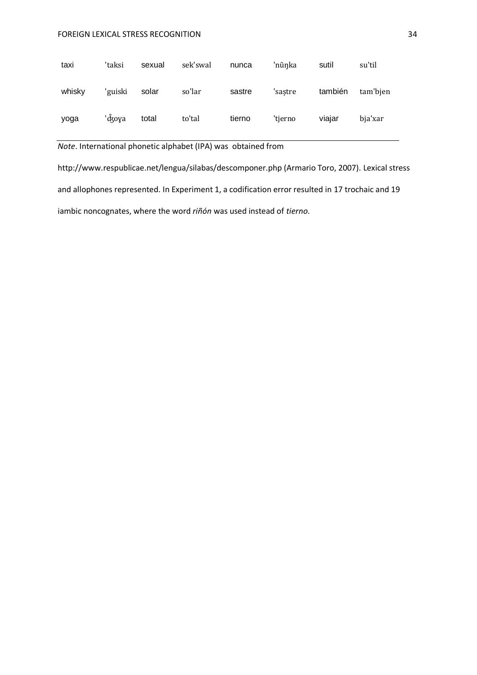## FOREIGN LEXICAL STRESS RECOGNITION 34

| taxi   | 'taksi  | sexual | sek'swal | nunca  | 'nũnka  | sutil   | su'til   |
|--------|---------|--------|----------|--------|---------|---------|----------|
| whisky | 'guiski | solar  | so'lar   | sastre | 'sastre | también | tam'bien |
| yoga   | 'd͡ʒoya | total  | to'tal   | tierno | 'tierno | viajar  | bja'xar  |

*Note*. International phonetic alphabet (IPA) was obtained from

http://www.respublicae.net/lengua/silabas/descomponer.php (Armario Toro, 2007). Lexical stress and allophones represented. In Experiment 1, a codification error resulted in 17 trochaic and 19 iambic noncognates, where the word *riñón* was used instead of *tierno*.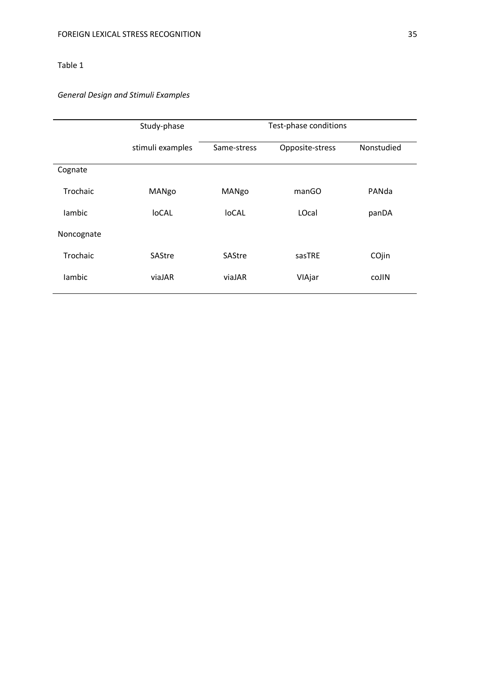# *General Design and Stimuli Examples*

|            | Study-phase      | Test-phase conditions |                 |            |  |  |
|------------|------------------|-----------------------|-----------------|------------|--|--|
|            | stimuli examples | Same-stress           | Opposite-stress | Nonstudied |  |  |
| Cognate    |                  |                       |                 |            |  |  |
| Trochaic   | MANgo            | MANgo                 | manGO           | PANda      |  |  |
| lambic     | loCAL            | <b>loCAL</b>          | LOcal           | panDA      |  |  |
| Noncognate |                  |                       |                 |            |  |  |
| Trochaic   | SAStre           | SAStre                | sasTRE          | COjin      |  |  |
| lambic     | viaJAR           | viaJAR                | VIAjar          | coJIN      |  |  |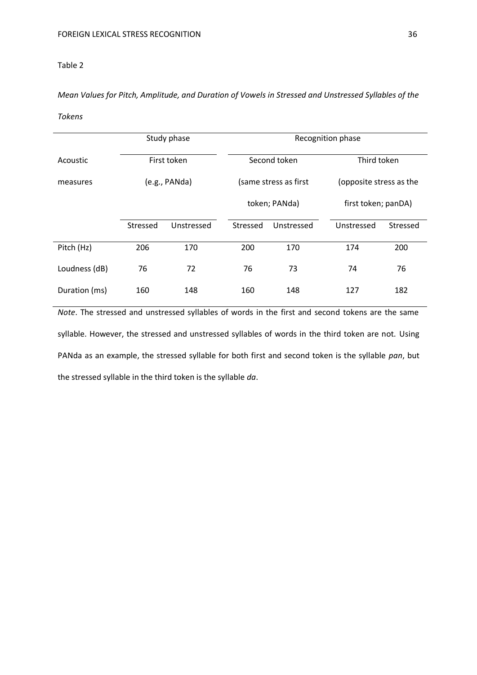*Mean Values for Pitch, Amplitude, and Duration of Vowels in Stressed and Unstressed Syllables of the* 

*Tokens*

|               |               | Study phase | Recognition phase |                       |            |                         |  |
|---------------|---------------|-------------|-------------------|-----------------------|------------|-------------------------|--|
| Acoustic      | First token   |             |                   | Second token          |            | Third token             |  |
| measures      | (e.g., PANda) |             |                   | (same stress as first |            | (opposite stress as the |  |
|               |               |             |                   | token; PANda)         |            | first token; panDA)     |  |
|               | Stressed      | Unstressed  | Stressed          | Unstressed            | Unstressed | Stressed                |  |
| Pitch (Hz)    | 206           | 170         | 200               | 170                   | 174        | 200                     |  |
| Loudness (dB) | 76            | 72          | 76                | 73                    | 74         | 76                      |  |
| Duration (ms) | 160<br>148    |             | 160               | 148                   | 127        | 182                     |  |

*Note*. The stressed and unstressed syllables of words in the first and second tokens are the same syllable. However, the stressed and unstressed syllables of words in the third token are not. Using PANda as an example, the stressed syllable for both first and second token is the syllable *pan*, but the stressed syllable in the third token is the syllable *da*.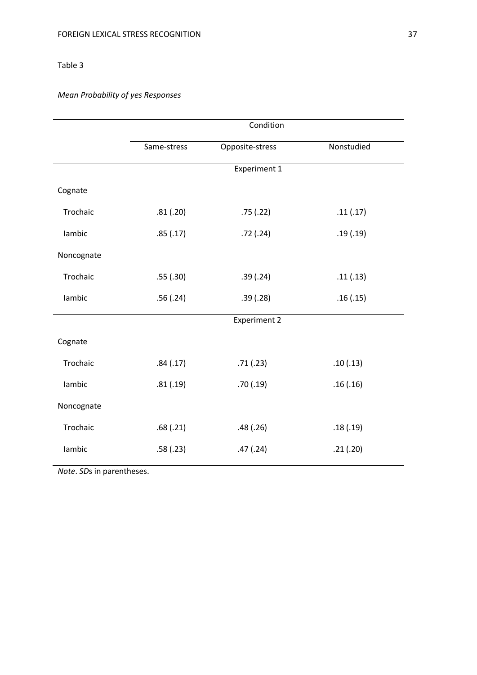# *Mean Probability of yes Responses*

|            | Condition   |                     |            |  |  |  |
|------------|-------------|---------------------|------------|--|--|--|
|            | Same-stress | Opposite-stress     | Nonstudied |  |  |  |
|            |             | Experiment 1        |            |  |  |  |
| Cognate    |             |                     |            |  |  |  |
| Trochaic   | .81(.20)    | .75(.22)            | .11(.17)   |  |  |  |
| lambic     | .85(.17)    | .72(.24)            | .19(.19)   |  |  |  |
| Noncognate |             |                     |            |  |  |  |
| Trochaic   | .55(.30)    | .39(.24)            | .11(.13)   |  |  |  |
| lambic     | .56(.24)    | .39(.28)            | .16(.15)   |  |  |  |
|            |             | <b>Experiment 2</b> |            |  |  |  |
| Cognate    |             |                     |            |  |  |  |
| Trochaic   | .84(.17)    | .71(.23)            | .10(.13)   |  |  |  |
| lambic     | .81(.19)    | .70(.19)            | .16(.16)   |  |  |  |
| Noncognate |             |                     |            |  |  |  |
| Trochaic   | .68(.21)    | .48(.26)            | .18(.19)   |  |  |  |
| lambic     | .58(.23)    | .47(.24)            | .21(.20)   |  |  |  |

*Note*. *SD*s in parentheses.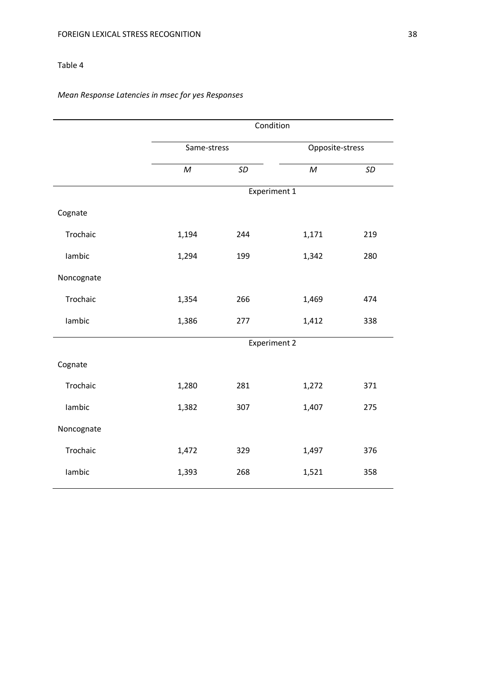# *Mean Response Latencies in msec for yes Responses*

|            | Condition    |                     |                 |     |  |  |
|------------|--------------|---------------------|-----------------|-----|--|--|
|            | Same-stress  |                     | Opposite-stress |     |  |  |
|            | $\mathcal M$ | SD                  | $\overline{M}$  | SD  |  |  |
|            |              | <b>Experiment 1</b> |                 |     |  |  |
| Cognate    |              |                     |                 |     |  |  |
| Trochaic   | 1,194        | 244                 | 1,171           | 219 |  |  |
| lambic     | 1,294        | 199                 | 1,342           | 280 |  |  |
| Noncognate |              |                     |                 |     |  |  |
| Trochaic   | 1,354        | 266                 | 1,469           | 474 |  |  |
| lambic     | 1,386        | 277                 | 1,412           | 338 |  |  |
|            |              | <b>Experiment 2</b> |                 |     |  |  |
| Cognate    |              |                     |                 |     |  |  |
| Trochaic   | 1,280        | 281                 | 1,272           | 371 |  |  |
| lambic     | 1,382        | 307                 | 1,407           | 275 |  |  |
| Noncognate |              |                     |                 |     |  |  |
| Trochaic   | 1,472        | 329                 | 1,497           | 376 |  |  |
| lambic     | 1,393        | 268                 | 1,521           | 358 |  |  |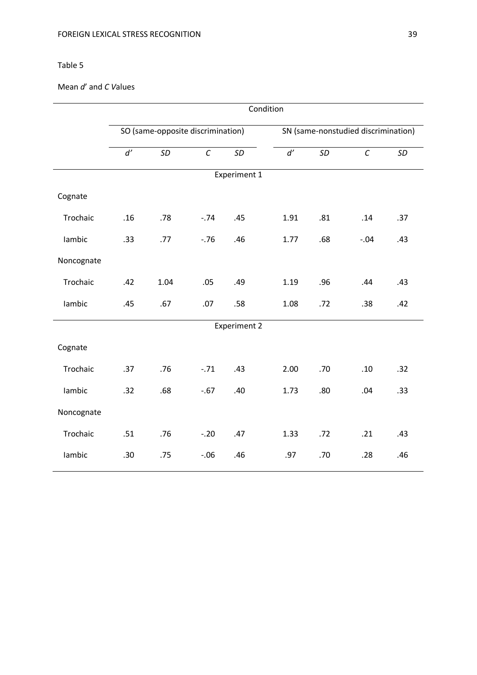# Mean *d*' and *C V*alues

|              | Condition                         |      |          |                     |                                     |     |          |     |
|--------------|-----------------------------------|------|----------|---------------------|-------------------------------------|-----|----------|-----|
|              | SO (same-opposite discrimination) |      |          |                     | SN (same-nonstudied discrimination) |     |          |     |
|              | d'                                | SD   | $\cal C$ | SD                  | d'                                  | SD  | $\cal C$ | SD  |
| Experiment 1 |                                   |      |          |                     |                                     |     |          |     |
| Cognate      |                                   |      |          |                     |                                     |     |          |     |
| Trochaic     | .16                               | .78  | $-.74$   | .45                 | 1.91                                | .81 | .14      | .37 |
| lambic       | .33                               | .77  | $-.76$   | .46                 | 1.77                                | .68 | $-0.04$  | .43 |
| Noncognate   |                                   |      |          |                     |                                     |     |          |     |
| Trochaic     | .42                               | 1.04 | .05      | .49                 | 1.19                                | .96 | .44      | .43 |
| lambic       | .45                               | .67  | .07      | .58                 | 1.08                                | .72 | .38      | .42 |
|              |                                   |      |          | <b>Experiment 2</b> |                                     |     |          |     |
| Cognate      |                                   |      |          |                     |                                     |     |          |     |
| Trochaic     | .37                               | .76  | $-.71$   | .43                 | 2.00                                | .70 | .10      | .32 |
| lambic       | .32                               | .68  | $-.67$   | .40                 | 1.73                                | .80 | .04      | .33 |
| Noncognate   |                                   |      |          |                     |                                     |     |          |     |
| Trochaic     | .51                               | .76  | $-.20$   | .47                 | 1.33                                | .72 | .21      | .43 |
| lambic       | .30                               | .75  | $-.06$   | .46                 | .97                                 | .70 | .28      | .46 |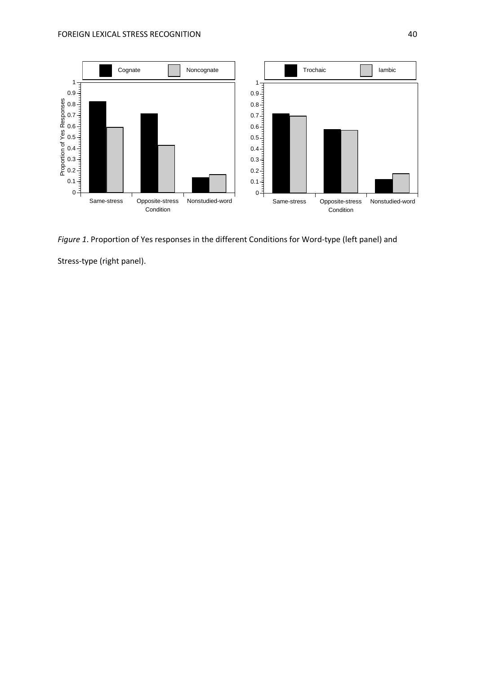

*Figure 1*. Proportion of Yes responses in the different Conditions for Word-type (left panel) and Stress-type (right panel).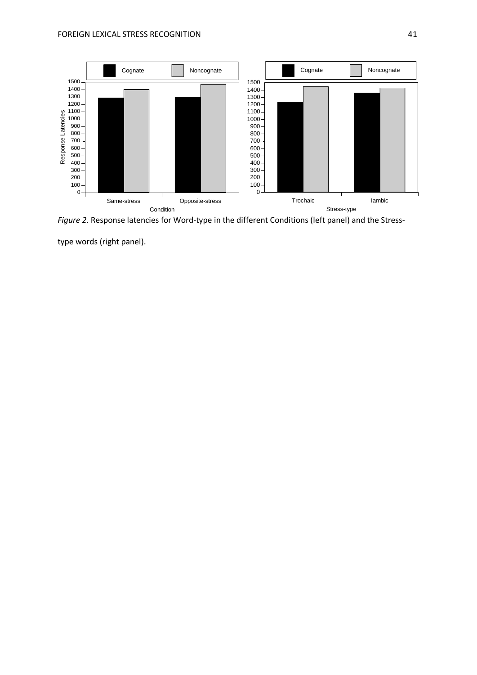

*Figure 2*. Response latencies for Word-type in the different Conditions (left panel) and the Stress-

type words (right panel).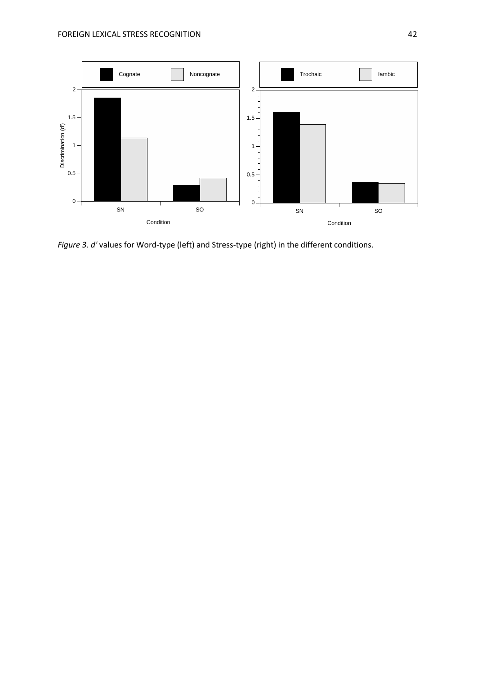